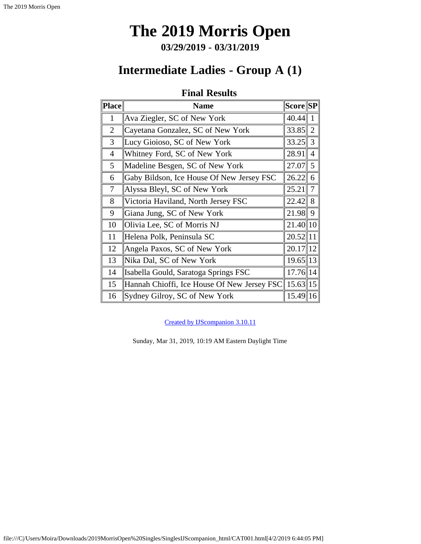**03/29/2019 - 03/31/2019**

# <span id="page-0-0"></span>**Intermediate Ladies - Group A (1)**

### **Final Results**

| Place          | <b>Name</b>                                 | <b>Score SP</b> |                |
|----------------|---------------------------------------------|-----------------|----------------|
| $\mathbf{1}$   | Ava Ziegler, SC of New York                 | 40.44           | $\mathbf{1}$   |
| $\overline{2}$ | Cayetana Gonzalez, SC of New York           | 33.85           | $\overline{2}$ |
| 3              | Lucy Gioioso, SC of New York                | 33.25           | $\parallel$ 3  |
| $\overline{4}$ | Whitney Ford, SC of New York                | 28.91           | $\overline{4}$ |
| 5              | Madeline Besgen, SC of New York             | 27.07           | $\parallel$ 5  |
| 6              | Gaby Bildson, Ice House Of New Jersey FSC   | 26.22           | 6              |
| $\tau$         | Alyssa Bleyl, SC of New York                | 25.21           | $\overline{7}$ |
| 8              | Victoria Haviland, North Jersey FSC         | $22.42$ 8       |                |
| 9              | Giana Jung, SC of New York                  | $21.98$   9     |                |
| 10             | Olivia Lee, SC of Morris NJ                 | 21.40   10      |                |
| 11             | Helena Polk, Peninsula SC                   | 20.52 11        |                |
| 12             | Angela Paxos, SC of New York                | $20.17$   12    |                |
| 13             | Nika Dal, SC of New York                    | 19.65 13        |                |
| 14             | Isabella Gould, Saratoga Springs FSC        | $17.76$  14     |                |
| 15             | Hannah Chioffi, Ice House Of New Jersey FSC | $15.63$   15    |                |
| 16             | Sydney Gilroy, SC of New York               | $15.49$   16    |                |

[Created by IJScompanion 3.10.11](http://www.usfigureskating.org/)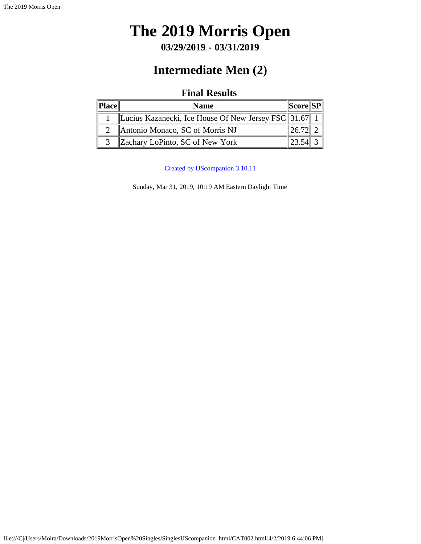# <span id="page-1-0"></span>**The 2019 Morris Open**

**03/29/2019 - 03/31/2019**

# **Intermediate Men (2)**

### **Final Results**

| Place | <b>Name</b>                                           | <b>Score SP</b> |  |
|-------|-------------------------------------------------------|-----------------|--|
|       | Lucius Kazanecki, Ice House Of New Jersey FSC 31.67 1 |                 |  |
|       | Antonio Monaco, SC of Morris NJ                       | $26.7^{\circ}$  |  |
|       | Zachary LoPinto, SC of New York                       |                 |  |

[Created by IJScompanion 3.10.11](http://www.usfigureskating.org/)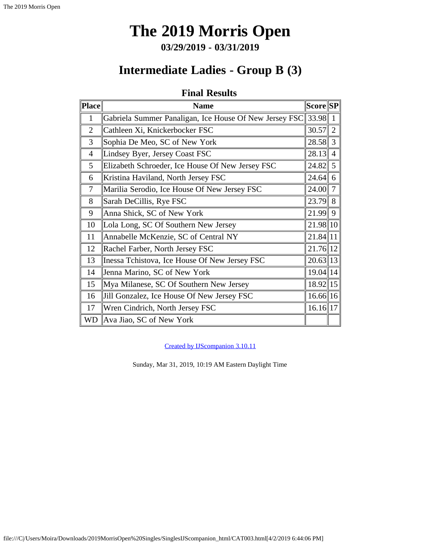**03/29/2019 - 03/31/2019**

## **Intermediate Ladies - Group B (3)**

### **Final Results**

<span id="page-2-0"></span>

| Place          | <b>Name</b>                                            | $ {\bf Score}  {\bf SP} $ |                |
|----------------|--------------------------------------------------------|---------------------------|----------------|
| 1              | Gabriela Summer Panaligan, Ice House Of New Jersey FSC | $\ 33.98\ $               | $\mathbf{1}$   |
| $\overline{2}$ | Cathleen Xi, Knickerbocker FSC                         | 30.57                     | 2              |
| 3              | Sophia De Meo, SC of New York                          | $28.58$ 3                 |                |
| $\overline{4}$ | Lindsey Byer, Jersey Coast FSC                         | 28.13                     | $\overline{4}$ |
| 5              | Elizabeth Schroeder, Ice House Of New Jersey FSC       | 24.82                     | 5              |
| 6              | Kristina Haviland, North Jersey FSC                    | 24.64                     | 6              |
| 7              | Marilia Serodio, Ice House Of New Jersey FSC           | 24.00                     | $\overline{7}$ |
| 8              | Sarah DeCillis, Rye FSC                                | $23.79$ 8                 |                |
| 9              | Anna Shick, SC of New York                             | $21.99$ 9                 |                |
| 10             | Lola Long, SC Of Southern New Jersey                   | 21.98 10                  |                |
| 11             | Annabelle McKenzie, SC of Central NY                   | $21.84$  11               |                |
| 12             | Rachel Farber, North Jersey FSC                        | 21.76 12                  |                |
| 13             | Inessa Tchistova, Ice House Of New Jersey FSC          | $20.63$   13              |                |
| 14             | Jenna Marino, SC of New York                           | $19.04$  14               |                |
| 15             | Mya Milanese, SC Of Southern New Jersey                | $18.92$   15              |                |
| 16             | Jill Gonzalez, Ice House Of New Jersey FSC             | $16.66$   16              |                |
| 17             | Wren Cindrich, North Jersey FSC                        | $16.16$   17              |                |
| <b>WD</b>      | Ava Jiao, SC of New York                               |                           |                |

[Created by IJScompanion 3.10.11](http://www.usfigureskating.org/)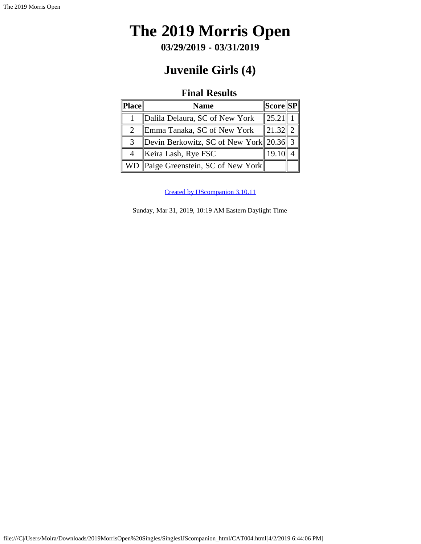# <span id="page-3-0"></span>**The 2019 Morris Open**

**03/29/2019 - 03/31/2019**

## **Juvenile Girls (4)**

## **Final Results**

| ' Place∥      | <b>Name</b>                                         | $\ {\bf Score}\ {\bf SP}\ $ |  |
|---------------|-----------------------------------------------------|-----------------------------|--|
|               | Dalila Delaura, SC of New York                      | 125.21                      |  |
|               | Emma Tanaka, SC of New York                         | $\ 21.32\ 2\ $              |  |
| $\mathcal{R}$ | Devin Berkowitz, SC of New York 20.36 $3 \parallel$ |                             |  |
|               | Keira Lash, Rye FSC                                 | 19.1                        |  |
| WD            | Paige Greenstein, SC of New York                    |                             |  |

[Created by IJScompanion 3.10.11](http://www.usfigureskating.org/)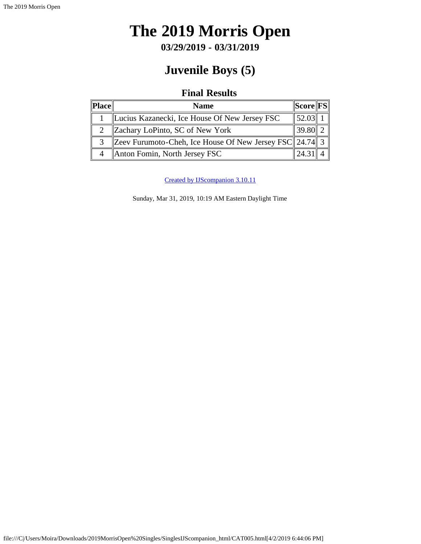# <span id="page-4-0"></span>**The 2019 Morris Open**

**03/29/2019 - 03/31/2019**

# **Juvenile Boys (5)**

## **Final Results**

| Place | <b>Name</b>                                                    | $\ \text{Score}\ \text{FS}\ $ |  |
|-------|----------------------------------------------------------------|-------------------------------|--|
|       | Lucius Kazanecki, Ice House Of New Jersey FSC                  | $\ 52.03\ $                   |  |
|       | Zachary LoPinto, SC of New York                                | $\ 39.80\ $                   |  |
| 3     | Zeev Furumoto-Cheh, Ice House Of New Jersey FSC 24.74 $\mid$ 3 |                               |  |
|       | Anton Fomin, North Jersey FSC                                  | 424.2                         |  |

[Created by IJScompanion 3.10.11](http://www.usfigureskating.org/)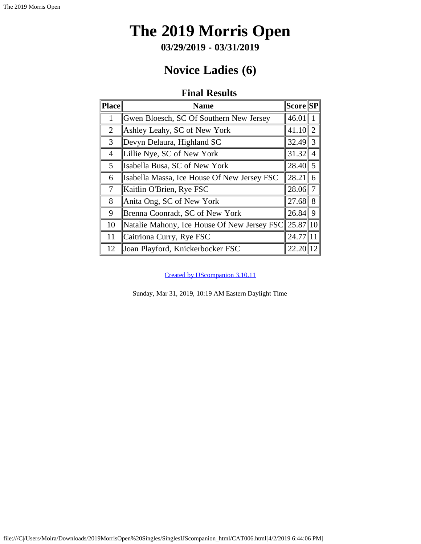**03/29/2019 - 03/31/2019**

# **Novice Ladies (6)**

## **Final Results**

<span id="page-5-0"></span>

| Place          | <b>Name</b>                                       | <b>Score SP</b> |                |
|----------------|---------------------------------------------------|-----------------|----------------|
|                | Gwen Bloesch, SC Of Southern New Jersey           | 46.01           |                |
| $\overline{2}$ | Ashley Leahy, SC of New York                      | 41.10           | $\overline{2}$ |
| 3              | Devyn Delaura, Highland SC                        | 32.49           | 3              |
| 4              | Lillie Nye, SC of New York                        | 31.32           | $\overline{4}$ |
| 5              | Isabella Busa, SC of New York                     | 28.40           | 5              |
| 6              | Isabella Massa, Ice House Of New Jersey FSC       | 28.21           | 6              |
| $\tau$         | Kaitlin O'Brien, Rye FSC                          | 28.06           | 7              |
| 8              | Anita Ong, SC of New York                         | 27.68           | 8              |
| 9              | Brenna Coonradt, SC of New York                   | 26.84           | 9              |
| 10             | Natalie Mahony, Ice House Of New Jersey FSC 25.87 |                 | 10             |
| 11             | Caitriona Curry, Rye FSC                          | 24.77           | 11             |
| 12             | Joan Playford, Knickerbocker FSC                  | 22.20           | 12             |

[Created by IJScompanion 3.10.11](http://www.usfigureskating.org/)

Sunday, Mar 31, 2019, 10:19 AM Eastern Daylight Time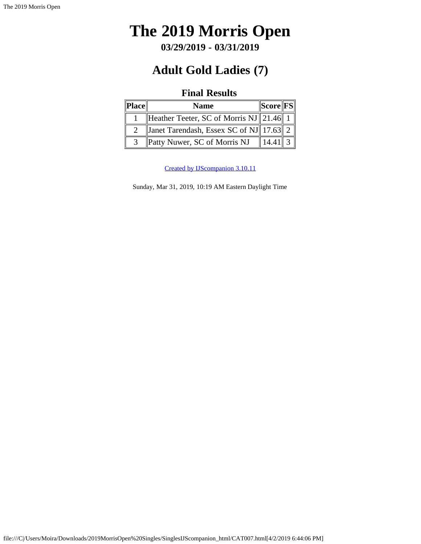# <span id="page-6-0"></span>**The 2019 Morris Open**

**03/29/2019 - 03/31/2019**

# **Adult Gold Ladies (7)**

### **Final Results**

| Place | <b>Name</b>                                 | Score  FS |  |
|-------|---------------------------------------------|-----------|--|
|       | Heather Teeter, SC of Morris NJ 21.46 1     |           |  |
|       | Janet Tarendash, Essex SC of NJ   17.63   2 |           |  |
|       | Patty Nuwer, SC of Morris NJ                |           |  |

[Created by IJScompanion 3.10.11](http://www.usfigureskating.org/)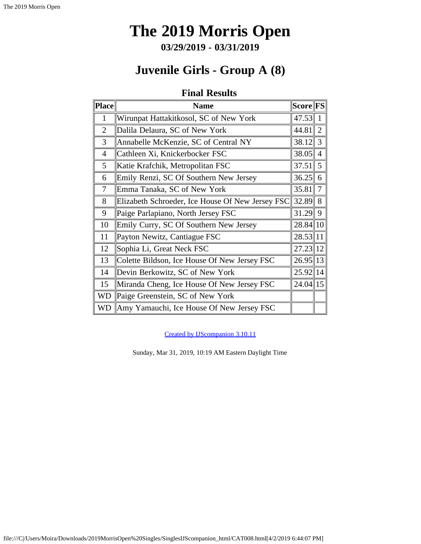**03/29/2019 - 03/31/2019**

## **Juvenile Girls - Group A (8)**

## **Final Results**

<span id="page-7-0"></span>

| Place          | <b>Name</b>                                      | <b>Score FS</b> |                |
|----------------|--------------------------------------------------|-----------------|----------------|
| $\mathbf{1}$   | Wirunpat Hattakitkosol, SC of New York           | 47.53           | $\mathbf{1}$   |
| $\overline{2}$ | Dalila Delaura, SC of New York                   | 44.81           | $\overline{2}$ |
| 3              | Annabelle McKenzie, SC of Central NY             | 38.12           | 3              |
| $\overline{4}$ | Cathleen Xi, Knickerbocker FSC                   | 38.05           | $\overline{4}$ |
| 5              | Katie Krafchik, Metropolitan FSC                 | 37.51           | 5              |
| 6              | Emily Renzi, SC Of Southern New Jersey           | 36.25           | 6              |
| 7              | Emma Tanaka, SC of New York                      | 35.81           | $\overline{7}$ |
| 8              | Elizabeth Schroeder, Ice House Of New Jersey FSC | 32.89           | 8              |
| 9              | Paige Parlapiano, North Jersey FSC               | 31.29           | 9              |
| 10             | Emily Curry, SC Of Southern New Jersey           | $28.84$   10    |                |
| 11             | Payton Newitz, Cantiague FSC                     | $28.53$   11    |                |
| 12             | Sophia Li, Great Neck FSC                        | 27.23 12        |                |
| 13             | Colette Bildson, Ice House Of New Jersey FSC     | 26.95 13        |                |
| 14             | Devin Berkowitz, SC of New York                  | $25.92$  14     |                |
| 15             | Miranda Cheng, Ice House Of New Jersey FSC       | $24.04$   15    |                |
| <b>WD</b>      | Paige Greenstein, SC of New York                 |                 |                |
| <b>WD</b>      | Amy Yamauchi, Ice House Of New Jersey FSC        |                 |                |

[Created by IJScompanion 3.10.11](http://www.usfigureskating.org/)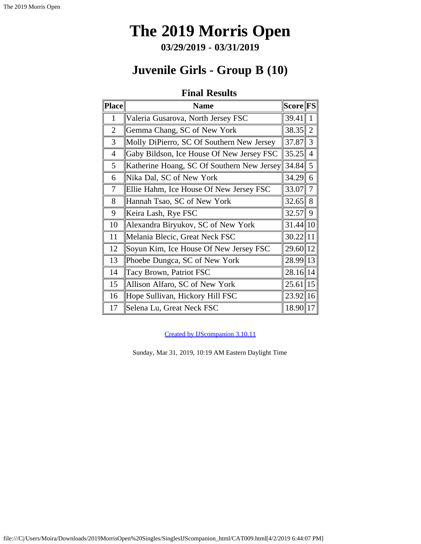**03/29/2019 - 03/31/2019**

# **Juvenile Girls - Group B (10)**

## **Final Results**

<span id="page-8-0"></span>

| $ {\bf Place} $ | <b>Name</b>                                | <b>Score FS</b> |                |
|-----------------|--------------------------------------------|-----------------|----------------|
| $\mathbf{1}$    | Valeria Gusarova, North Jersey FSC         | 39.41           | 1              |
| $\overline{2}$  | Gemma Chang, SC of New York                | 38.35           | 2              |
| 3               | Molly DiPierro, SC Of Southern New Jersey  | 37.87           | 3              |
| $\overline{4}$  | Gaby Bildson, Ice House Of New Jersey FSC  | 35.25           | $\overline{4}$ |
| 5               | Katherine Hoang, SC Of Southern New Jersey | 34.84           | $\overline{5}$ |
| 6               | Nika Dal, SC of New York                   | 34.29           | 6              |
| 7               | Ellie Hahm, Ice House Of New Jersey FSC    | 33.07           | $\overline{7}$ |
| 8               | Hannah Tsao, SC of New York                | 32.65           | 8              |
| 9               | Keira Lash, Rye FSC                        | 32.57           | 9              |
| 10              | Alexandra Biryukov, SC of New York         | $31.44$  10     |                |
| 11              | Melania Blecic, Great Neck FSC             | $30.22$   11    |                |
| 12              | Soyun Kim, Ice House Of New Jersey FSC     | 29.60 12        |                |
| 13              | Phoebe Dungca, SC of New York              | 28.99 13        |                |
| 14              | Tacy Brown, Patriot FSC                    | $28.16$   14    |                |
| 15              | Allison Alfaro, SC of New York             | $25.61$   15    |                |
| 16              | Hope Sullivan, Hickory Hill FSC            | 23.92 16        |                |
| 17              | Selena Lu, Great Neck FSC                  | 18.90   17      |                |

[Created by IJScompanion 3.10.11](http://www.usfigureskating.org/)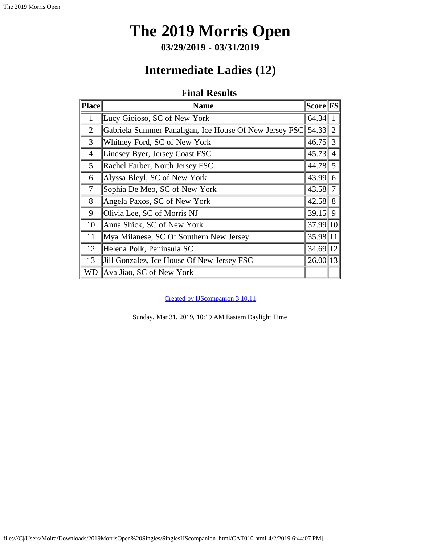**03/29/2019 - 03/31/2019**

## **Intermediate Ladies (12)**

## **Final Results**

<span id="page-9-0"></span>

| Place          | <b>Name</b>                                            | $ {\rm Score} {\rm FS} $ |  |
|----------------|--------------------------------------------------------|--------------------------|--|
| 1              | Lucy Gioioso, SC of New York                           | 64.34                    |  |
| $\overline{2}$ | Gabriela Summer Panaligan, Ice House Of New Jersey FSC | $54.33$ 2                |  |
| 3              | Whitney Ford, SC of New York                           | $46.75$ 3                |  |
| $\overline{4}$ | Lindsey Byer, Jersey Coast FSC                         | $45.73$ 4                |  |
| 5              | Rachel Farber, North Jersey FSC                        | 44.78 5                  |  |
| 6              | Alyssa Bleyl, SC of New York                           | $43.99$ 6                |  |
| 7              | Sophia De Meo, SC of New York                          | 43.58 7                  |  |
| 8              | Angela Paxos, SC of New York                           | $42.58$ 8                |  |
| 9              | Olivia Lee, SC of Morris NJ                            | $39.15$   9              |  |
| 10             | Anna Shick, SC of New York                             | 37.99 10                 |  |
| 11             | Mya Milanese, SC Of Southern New Jersey                | 35.98 11                 |  |
| 12             | Helena Polk, Peninsula SC                              | 34.69 12                 |  |
| 13             | Jill Gonzalez, Ice House Of New Jersey FSC             | $26.00$   13             |  |
| WD.            | Ava Jiao, SC of New York                               |                          |  |

[Created by IJScompanion 3.10.11](http://www.usfigureskating.org/)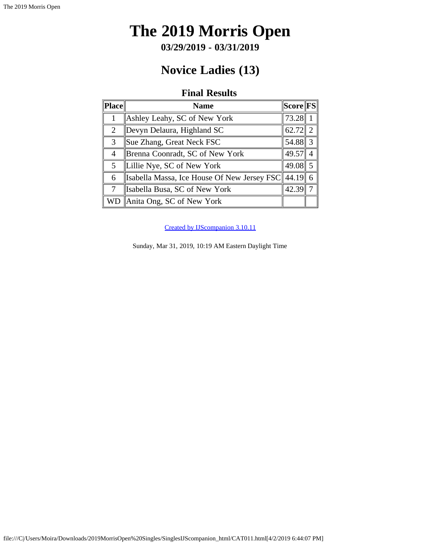**03/29/2019 - 03/31/2019**

# **Novice Ladies (13)**

### **Final Results**

<span id="page-10-0"></span>

| <b>Place</b>   | <b>Name</b>                                       | $ \mathrm{Score} \mathrm{FS} $ |                |
|----------------|---------------------------------------------------|--------------------------------|----------------|
|                | Ashley Leahy, SC of New York                      | 73.28                          |                |
| $\overline{2}$ | Devyn Delaura, Highland SC                        | 62.72                          | $\overline{2}$ |
| 3              | Sue Zhang, Great Neck FSC                         | 54.88                          | 3              |
| $\overline{4}$ | Brenna Coonradt, SC of New York                   | 49.57                          | $\overline{A}$ |
| 5              | Lillie Nye, SC of New York                        | 49.08                          | 5              |
| 6              | Isabella Massa, Ice House Of New Jersey FSC 44.19 |                                | 6              |
| 7              | Isabella Busa, SC of New York                     | 42.39                          |                |
| WD             | Anita Ong, SC of New York                         |                                |                |

[Created by IJScompanion 3.10.11](http://www.usfigureskating.org/)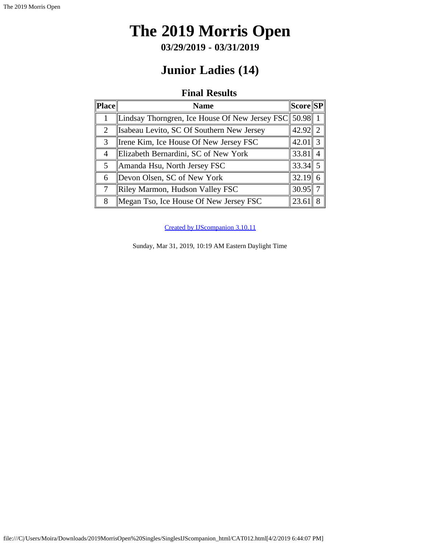**03/29/2019 - 03/31/2019**

# **Junior Ladies (14)**

### **Final Results**

<span id="page-11-0"></span>

| $\ $ Place $\ $ | <b>Name</b>                                    | $ \!\! \mathrm{Score} \!\! \mathrm{SP} \!\! $ |               |
|-----------------|------------------------------------------------|-----------------------------------------------|---------------|
|                 | Lindsay Thorngren, Ice House Of New Jersey FSC | $50.98$   1                                   |               |
| $\overline{2}$  | Isabeau Levito, SC Of Southern New Jersey      | $42.92$ 2                                     |               |
| 3               | Irene Kim, Ice House Of New Jersey FSC         | 42.01                                         | $\mathcal{E}$ |
| 4               | Elizabeth Bernardini, SC of New York           | 33.81                                         |               |
| 5               | Amanda Hsu, North Jersey FSC                   | $33.34$ 5                                     |               |
| 6               | Devon Olsen, SC of New York                    | 32.19                                         |               |
| $\tau$          | Riley Marmon, Hudson Valley FSC                | 30.95                                         |               |
| 8               | Megan Tso, Ice House Of New Jersey FSC         | 23.6                                          |               |

[Created by IJScompanion 3.10.11](http://www.usfigureskating.org/)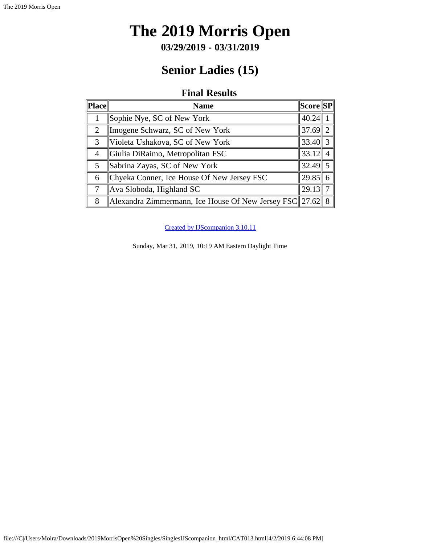# <span id="page-12-0"></span>**The 2019 Morris Open**

**03/29/2019 - 03/31/2019**

# **Senior Ladies (15)**

### **Final Results**

| $\ Place\ $ | <b>Name</b>                                               | $ \bf Score \bf SP $ |  |
|-------------|-----------------------------------------------------------|----------------------|--|
|             | Sophie Nye, SC of New York                                | 40.24                |  |
| 2           | Imogene Schwarz, SC of New York                           | $37.69$ 2            |  |
| 3           | Violeta Ushakova, SC of New York                          | $33.40$ 3            |  |
| 4           | Giulia DiRaimo, Metropolitan FSC                          | 33.12                |  |
| 5           | Sabrina Zayas, SC of New York                             | $32.49$ 5            |  |
| 6           | Chyeka Conner, Ice House Of New Jersey FSC                | $29.85$ 6            |  |
| 7           | Ava Sloboda, Highland SC                                  | 29.13                |  |
| 8           | Alexandra Zimmermann, Ice House Of New Jersey FSC 27.62 8 |                      |  |

[Created by IJScompanion 3.10.11](http://www.usfigureskating.org/)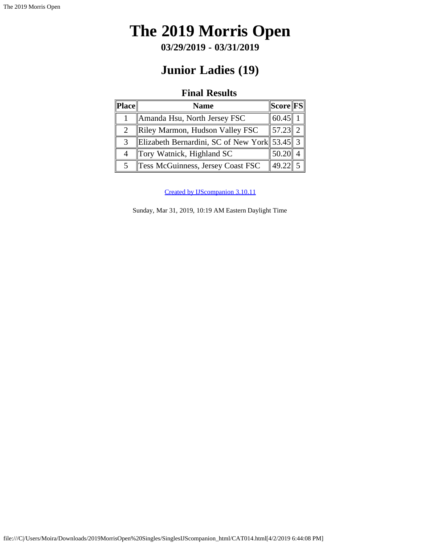# <span id="page-13-0"></span>**The 2019 Morris Open**

**03/29/2019 - 03/31/2019**

# **Junior Ladies (19)**

## **Final Results**

| Place          | <b>Name</b>                                  | $\ Score\ FS\ $ |  |
|----------------|----------------------------------------------|-----------------|--|
|                | Amanda Hsu, North Jersey FSC                 | 60.45           |  |
| $\overline{2}$ | Riley Marmon, Hudson Valley FSC              | 57.23 2         |  |
| 3              | Elizabeth Bernardini, SC of New York 53.45 3 |                 |  |
|                | Tory Watnick, Highland SC                    | 50.20           |  |
| 5              | Tess McGuinness, Jersey Coast FSC            | 49.22           |  |

[Created by IJScompanion 3.10.11](http://www.usfigureskating.org/)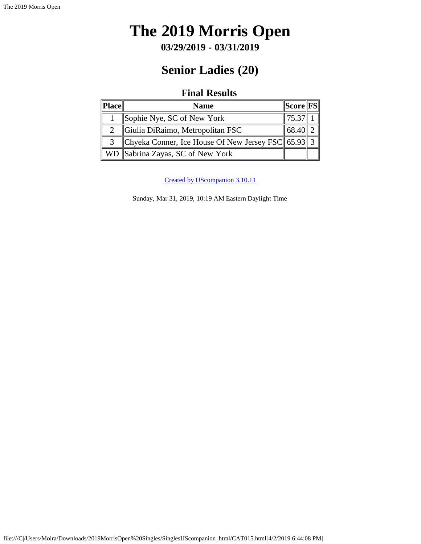# <span id="page-14-0"></span>**The 2019 Morris Open**

**03/29/2019 - 03/31/2019**

# **Senior Ladies (20)**

## **Final Results**

| Place | <b>Name</b>                                                  | $\ {\bf Score}\ {\bf FS}\ $ |  |
|-------|--------------------------------------------------------------|-----------------------------|--|
|       | Sophie Nye, SC of New York                                   | 75.37                       |  |
|       | Giulia DiRaimo, Metropolitan FSC                             | 68.40                       |  |
|       | Chyeka Conner, Ice House Of New Jersey FSC $\ $ 65.93 $\ $ 3 |                             |  |
|       | WD  Sabrina Zayas, SC of New York                            |                             |  |

[Created by IJScompanion 3.10.11](http://www.usfigureskating.org/)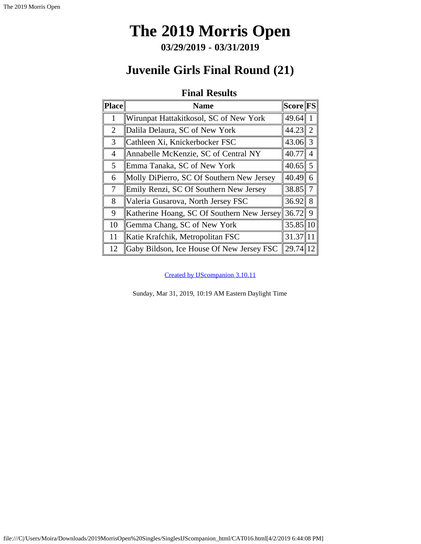**03/29/2019 - 03/31/2019**

## <span id="page-15-0"></span>**Juvenile Girls Final Round (21)**

### **Final Results**

| <b>Place</b>   | <b>Name</b>                                | Score  FS    |                |
|----------------|--------------------------------------------|--------------|----------------|
| 1              | Wirunpat Hattakitkosol, SC of New York     | 49.64        |                |
| $\overline{2}$ | Dalila Delaura, SC of New York             | 44.23        | 2              |
| 3              | Cathleen Xi, Knickerbocker FSC             | $43.06$ 3    |                |
| 4              | Annabelle McKenzie, SC of Central NY       | 40.77        | $\overline{4}$ |
| 5              | Emma Tanaka, SC of New York                | $40.65$ 5    |                |
| 6              | Molly DiPierro, SC Of Southern New Jersey  | 40.49        | 6              |
| $\tau$         | Emily Renzi, SC Of Southern New Jersey     | 38.85        | 7              |
| 8              | Valeria Gusarova, North Jersey FSC         | 36.92        | 8              |
| 9              | Katherine Hoang, SC Of Southern New Jersey | 36.72        | 9              |
| 10             | Gemma Chang, SC of New York                | $35.85$   10 |                |
| 11             | Katie Krafchik, Metropolitan FSC           | 31.37        |                |
| 12             | Gaby Bildson, Ice House Of New Jersey FSC  | 29.74        |                |

[Created by IJScompanion 3.10.11](http://www.usfigureskating.org/)

Sunday, Mar 31, 2019, 10:19 AM Eastern Daylight Time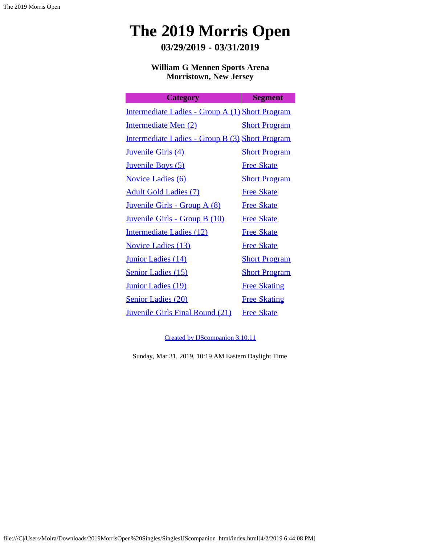**03/29/2019 - 03/31/2019**

**William G Mennen Sports Arena Morristown, New Jersey**

| <b>Category</b>                                        | <b>Segment</b>       |
|--------------------------------------------------------|----------------------|
| Intermediate Ladies - Group A (1) Short Program        |                      |
| Intermediate Men (2)                                   | <b>Short Program</b> |
| <u>Intermediate Ladies - Group B (3) Short Program</u> |                      |
| <b>Juvenile Girls (4)</b>                              | <b>Short Program</b> |
| <b>Juvenile Boys (5)</b>                               | <b>Free Skate</b>    |
| <b>Novice Ladies (6)</b>                               | <b>Short Program</b> |
| <b>Adult Gold Ladies (7)</b>                           | <b>Free Skate</b>    |
| <u> Juvenile Girls - Group A (8)</u>                   | <b>Free Skate</b>    |
| <u> Juvenile Girls - Group B (10)</u>                  | <b>Free Skate</b>    |
| Intermediate Ladies (12)                               | <b>Free Skate</b>    |
| <b>Novice Ladies (13)</b>                              | <b>Free Skate</b>    |
| <b>Junior Ladies (14)</b>                              | <b>Short Program</b> |
| <b>Senior Ladies (15)</b>                              | <b>Short Program</b> |
| <b>Junior Ladies (19)</b>                              | <b>Free Skating</b>  |
| <b>Senior Ladies (20)</b>                              | <b>Free Skating</b>  |
| <b>Juvenile Girls Final Round (21)</b>                 | <b>Free Skate</b>    |

[Created by IJScompanion 3.10.11](http://www.usfigureskating.org/)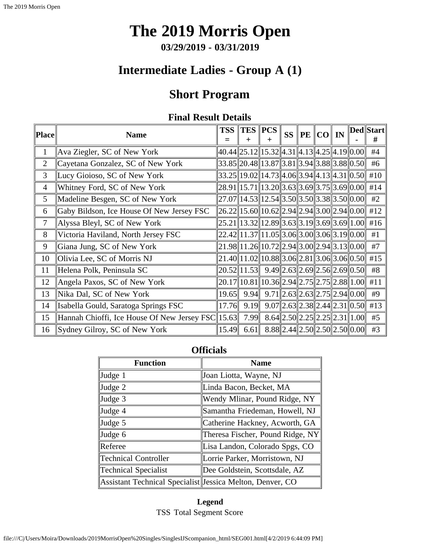**03/29/2019 - 03/31/2019**

## **Intermediate Ladies - Group A (1)**

## **Short Program**

### **Final Result Details**

<span id="page-17-0"></span>

| $\ $ Place $\ $ | <b>Name</b>                                       | <b>TSS</b>                                                  | $TES$ $PCS$<br>┿                                                                                                             | $\div$ | <b>SS</b> | $\ {\bf PE}\, \ {\bf CO}\ $ IN |                                       | Ded  Start  <br># |
|-----------------|---------------------------------------------------|-------------------------------------------------------------|------------------------------------------------------------------------------------------------------------------------------|--------|-----------|--------------------------------|---------------------------------------|-------------------|
| $\mathbf{1}$    | Ava Ziegler, SC of New York                       |                                                             | 40.44  25.12  15.32  4.31  4.13  4.25  4.19  0.00                                                                            |        |           |                                |                                       | #4                |
| $\overline{2}$  | Cayetana Gonzalez, SC of New York                 |                                                             | $33.85$   20.48  13.87  3.81  3.94  3.88  3.88  0.50                                                                         |        |           |                                |                                       | #6                |
| 3               | Lucy Gioioso, SC of New York                      |                                                             | 33.25  19.02  14.73  4.06  3.94  4.13  4.31  0.50                                                                            |        |           |                                |                                       | #10               |
| 4               | Whitney Ford, SC of New York                      |                                                             | $28.91$   15.71  13.20  3.63  3.69  3.75  3.69  0.00   #14                                                                   |        |           |                                |                                       |                   |
| 5               | Madeline Besgen, SC of New York                   |                                                             | $27.07$   14.53  12.54  3.50  3.50  3.38  3.50  0.00                                                                         |        |           |                                |                                       | #2                |
| 6               | Gaby Bildson, Ice House Of New Jersey FSC         | $\ 26.22\ 15.60\ 10.62\ 2.94\ 2.94\ 3.00\ 2.94\ 0.00\ $ #12 |                                                                                                                              |        |           |                                |                                       |                   |
| 7               | Alyssa Bleyl, SC of New York                      |                                                             | $25.21$   13.32  12.89  3.63  3.19  3.69  3.69  1.00   #16                                                                   |        |           |                                |                                       |                   |
| 8               | Victoria Haviland, North Jersey FSC               |                                                             | $22.42$   11.37  11.05  3.06  3.00  3.06  3.19  0.00                                                                         |        |           |                                |                                       | #1                |
| 9               | Giana Jung, SC of New York                        |                                                             | $21.98$   11.26  10.72  2.94  3.00  2.94  3.13  0.00                                                                         |        |           |                                |                                       | #7                |
| 10              | Olivia Lee, SC of Morris NJ                       |                                                             | $21.40$   11.02  10.88  3.06  2.81  3.06  3.06  0.50                                                                         |        |           |                                |                                       | #15               |
| 11              | Helena Polk, Peninsula SC                         |                                                             | $20.52$   11.53    9.49    2.63    2.69    2.56    2.69    0.50                                                              |        |           |                                |                                       | #8                |
| 12              | Angela Paxos, SC of New York                      |                                                             | $\left  20.17 \right  10.81 \left  10.36 \right  2.94 \left  2.75 \right  2.75 \left  2.88 \right  1.00 \left  1.00 \right $ |        |           |                                |                                       | #11               |
| 13              | Nika Dal, SC of New York                          | 19.65                                                       | 9.94                                                                                                                         |        |           |                                | $9.71$   2.63  2.63  2.75  2.94  0.00 | #9                |
| 14              | Isabella Gould, Saratoga Springs FSC              | 17.76                                                       | 9.19                                                                                                                         |        |           |                                | $9.07$   2.63  2.38  2.44  2.31  0.50 | #13               |
| 15              | Hannah Chioffi, Ice House Of New Jersey FSC 15.63 |                                                             | 7.99                                                                                                                         |        |           |                                | $8.64$   2.50  2.25  2.25  2.31  1.00 | #5                |
| 16              | Sydney Gilroy, SC of New York                     | 15.49                                                       | 6.61                                                                                                                         |        |           |                                | $8.88$   2.44  2.50  2.50  2.50  0.00 | #3                |

## **Officials**

| <b>Function</b>                                           | <b>Name</b>                      |  |  |  |  |  |
|-----------------------------------------------------------|----------------------------------|--|--|--|--|--|
| Judge 1                                                   | Joan Liotta, Wayne, NJ           |  |  |  |  |  |
| Judge 2                                                   | Linda Bacon, Becket, MA          |  |  |  |  |  |
| Judge 3                                                   | Wendy Mlinar, Pound Ridge, NY    |  |  |  |  |  |
| Judge 4                                                   | Samantha Friedeman, Howell, NJ   |  |  |  |  |  |
| Judge 5                                                   | Catherine Hackney, Acworth, GA   |  |  |  |  |  |
| Judge 6                                                   | Theresa Fischer, Pound Ridge, NY |  |  |  |  |  |
| Referee                                                   | Lisa Landon, Colorado Spgs, CO   |  |  |  |  |  |
| <b>Technical Controller</b>                               | Lorrie Parker, Morristown, NJ    |  |  |  |  |  |
| <b>Technical Specialist</b>                               | Dee Goldstein, Scottsdale, AZ    |  |  |  |  |  |
| Assistant Technical Specialist Jessica Melton, Denver, CO |                                  |  |  |  |  |  |

**Legend** TSS Total Segment Score

file:///C|/Users/Moira/Downloads/2019MorrisOpen%20Singles/SinglesIJScompanion\_html/SEG001.html[4/2/2019 6:44:09 PM]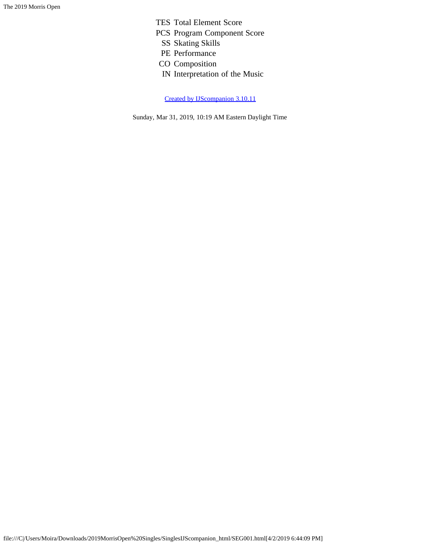- TES Total Element Score
- PCS Program Component Score
	- SS Skating Skills
	- PE Performance
- CO Composition
- IN Interpretation of the Music

[Created by IJScompanion 3.10.11](http://www.usfigureskating.org/)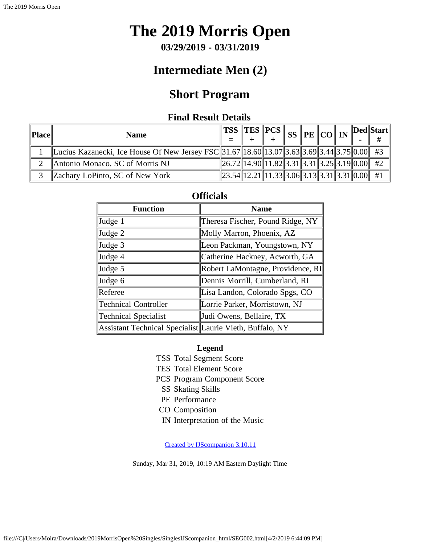**03/29/2019 - 03/31/2019**

## **Intermediate Men (2)**

## **Short Program**

### **Final Result Details**

<span id="page-19-0"></span>

| $\ $ Place $\ $ | <b>Name</b>                                                                                 | $\ {\rm TSS}\,{\ {\rm TES}\,{\ PCS\,{\ }}}$                |  |  | $\frac{1}{2}$ ss $\left\Vert \mathrm{PE}\right\Vert \mathrm{CO}\right\Vert \mathrm{IN}$ |  | $\ $ Ded $\ $ Start $\ $ |
|-----------------|---------------------------------------------------------------------------------------------|------------------------------------------------------------|--|--|-----------------------------------------------------------------------------------------|--|--------------------------|
|                 | Lucius Kazanecki, Ice House Of New Jersey FSC 31.67 18.60 13.07 3.63 3.69 3.44 3.75 0.00 #3 |                                                            |  |  |                                                                                         |  |                          |
|                 | Antonio Monaco, SC of Morris NJ                                                             | $\ 26.72\ 14.90\ 11.82\ 3.31\ 3.31\ 3.25\ 3.19\ 0.00\ $ #2 |  |  |                                                                                         |  |                          |
|                 | Zachary LoPinto, SC of New York                                                             | $\ 23.54\ 12.21\ 11.33\ 3.06\ 3.13\ 3.31\ 3.31\ 0.00\ $ #1 |  |  |                                                                                         |  |                          |

### **Officials**

| <b>Function</b>                                          | <b>Name</b>                       |  |  |  |  |  |
|----------------------------------------------------------|-----------------------------------|--|--|--|--|--|
| Judge 1                                                  | Theresa Fischer, Pound Ridge, NY  |  |  |  |  |  |
| Judge 2                                                  | Molly Marron, Phoenix, AZ         |  |  |  |  |  |
| Judge 3                                                  | Leon Packman, Youngstown, NY      |  |  |  |  |  |
| Judge 4                                                  | Catherine Hackney, Acworth, GA    |  |  |  |  |  |
| Judge 5                                                  | Robert LaMontagne, Providence, RI |  |  |  |  |  |
| Judge 6                                                  | Dennis Morrill, Cumberland, RI    |  |  |  |  |  |
| Referee                                                  | Lisa Landon, Colorado Spgs, CO    |  |  |  |  |  |
| <b>Technical Controller</b>                              | Lorrie Parker, Morristown, NJ     |  |  |  |  |  |
| <b>Technical Specialist</b>                              | Judi Owens, Bellaire, TX          |  |  |  |  |  |
| Assistant Technical Specialist Laurie Vieth, Buffalo, NY |                                   |  |  |  |  |  |

#### **Legend**

- TSS Total Segment Score
- TES Total Element Score
- PCS Program Component Score
	- SS Skating Skills
- PE Performance
- CO Composition
- IN Interpretation of the Music

[Created by IJScompanion 3.10.11](http://www.usfigureskating.org/)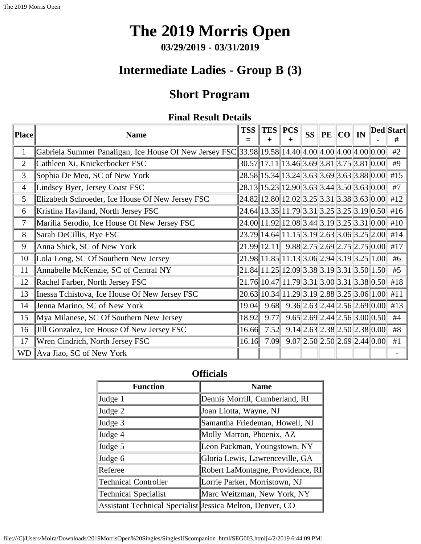# **The 2019 Morris Open**

**03/29/2019 - 03/31/2019**

## **Intermediate Ladies - Group B (3)**

# **Short Program**

### **Final Result Details**

<span id="page-20-0"></span>

| Place     | <b>Name</b>                                                                                                    | <b>TSS</b> |                                                            | $TES$ $PCS$                                 | <b>SS</b> | PE   CO | IN |                                       | $\  \textbf{Ded} \  \textbf{Start} \ $<br># |
|-----------|----------------------------------------------------------------------------------------------------------------|------------|------------------------------------------------------------|---------------------------------------------|-----------|---------|----|---------------------------------------|---------------------------------------------|
| 1         | Gabriela Summer Panaligan, Ice House Of New Jersey FSC 33.98    19.58    14.40    4.00    4.00    4.00    0.00 |            |                                                            |                                             |           |         |    |                                       | #2                                          |
| 2         | Cathleen Xi, Knickerbocker FSC                                                                                 |            | $ 30.57\ 17.11\ 13.46\ 3.69\ 3.81\ 3.75\ 3.81\ 0.00\ $     |                                             |           |         |    |                                       | #9                                          |
| 3         | Sophia De Meo, SC of New York                                                                                  |            | $28.58$   15.34  13.24  3.63  3.69  3.63  3.88  0.00       |                                             |           |         |    |                                       | #15                                         |
| 4         | Lindsey Byer, Jersey Coast FSC                                                                                 |            | $28.13$   15.23  12.90  3.63  3.44  3.50  3.63  0.00       |                                             |           |         |    |                                       | #7                                          |
| 5         | Elizabeth Schroeder, Ice House Of New Jersey FSC                                                               |            | $24.82$   12.80  12.02  3.25  3.31  3.38  3.63  0.00       |                                             |           |         |    |                                       | #12                                         |
| 6         | Kristina Haviland, North Jersey FSC                                                                            |            | $24.64$   13.35  11.79  3.31  3.25  3.25  3.19  0.50   #16 |                                             |           |         |    |                                       |                                             |
| 7         | Marilia Serodio, Ice House Of New Jersey FSC                                                                   |            | $24.00\ 11.92\ 12.08\ 3.44\ 3.19\ 3.25\ 3.31\ 0.00\ 410$   |                                             |           |         |    |                                       |                                             |
| 8         | Sarah DeCillis, Rye FSC                                                                                        |            | 23.79  14.64  11.15  3.19  2.63  3.06  3.25  2.00   #14    |                                             |           |         |    |                                       |                                             |
| 9         | Anna Shick, SC of New York                                                                                     |            | $\ 21.99\ 12.11\ $ 9.88 $\ 2.75\ 2.69\ 2.75\ 2.75\ 0.00\ $ |                                             |           |         |    |                                       | #17                                         |
| 10        | Lola Long, SC Of Southern New Jersey                                                                           |            | $21.98$   11.85  11.13  3.06  2.94  3.19  3.25  1.00       |                                             |           |         |    |                                       | #6                                          |
| 11        | Annabelle McKenzie, SC of Central NY                                                                           |            | $21.84$   11.25  12.09  3.38  3.19  3.31  3.50  1.50       |                                             |           |         |    |                                       | #5                                          |
| 12        | Rachel Farber, North Jersey FSC                                                                                |            | 21.76 10.47 11.79 3.31 3.00 3.31 3.38 0.50 #18             |                                             |           |         |    |                                       |                                             |
| 13        | Inessa Tchistova, Ice House Of New Jersey FSC                                                                  |            | 20.63 10.34 11.29 3.19 2.88 3.25 3.06 1.00                 |                                             |           |         |    |                                       | #11                                         |
| 14        | Jenna Marino, SC of New York                                                                                   | 19.04      | 9.68                                                       | $9.36$   2.63  2.44  2.56  2.69  0.00   #13 |           |         |    |                                       |                                             |
| 15        | Mya Milanese, SC Of Southern New Jersey                                                                        | 18.92      | 9.77                                                       |                                             |           |         |    | $9.65$   2.69  2.44  2.56  3.00  0.50 | #4                                          |
| 16        | Jill Gonzalez, Ice House Of New Jersey FSC                                                                     | 16.66      | 7.52                                                       |                                             |           |         |    | $9.14$   2.63  2.38  2.50  2.38  0.00 | #8                                          |
| 17        | Wren Cindrich, North Jersey FSC                                                                                | 16.16      | 7.09                                                       |                                             |           |         |    | $9.07$   2.50  2.50  2.69  2.44  0.00 | #1                                          |
| <b>WD</b> | Ava Jiao, SC of New York                                                                                       |            |                                                            |                                             |           |         |    |                                       |                                             |

### **Officials**

| <b>Function</b>                                           | <b>Name</b>                       |
|-----------------------------------------------------------|-----------------------------------|
| Judge 1                                                   | Dennis Morrill, Cumberland, RI    |
| Judge 2                                                   | Joan Liotta, Wayne, NJ            |
| Judge 3                                                   | Samantha Friedeman, Howell, NJ    |
| Judge 4                                                   | Molly Marron, Phoenix, AZ         |
| Judge 5                                                   | Leon Packman, Youngstown, NY      |
| Judge 6                                                   | Gloria Lewis, Lawrenceville, GA   |
| Referee                                                   | Robert LaMontagne, Providence, RI |
| <b>Technical Controller</b>                               | Lorrie Parker, Morristown, NJ     |
| <b>Technical Specialist</b>                               | Marc Weitzman, New York, NY       |
| Assistant Technical Specialist Jessica Melton, Denver, CO |                                   |

file:///C|/Users/Moira/Downloads/2019MorrisOpen%20Singles/SinglesIJScompanion\_html/SEG003.html[4/2/2019 6:44:09 PM]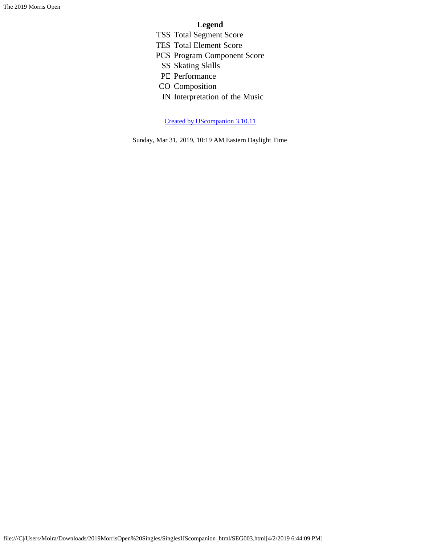#### **Legend**

- TSS Total Segment Score
- TES Total Element Score
- PCS Program Component Score
	- SS Skating Skills
	- PE Performance
- CO Composition
- IN Interpretation of the Music

[Created by IJScompanion 3.10.11](http://www.usfigureskating.org/)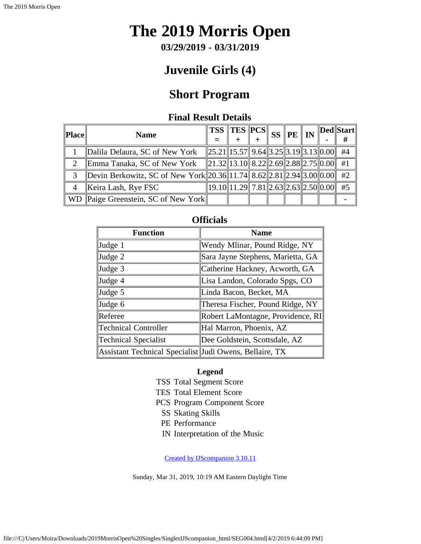**03/29/2019 - 03/31/2019**

## **Juvenile Girls (4)**

## **Short Program**

### **Final Result Details**

<span id="page-22-0"></span>

| Place          | <b>Name</b>                                                                  | $\frac{1}{\sqrt{2}}$ TSS $\frac{1}{\sqrt{2}}$ TES $\frac{1}{\sqrt{2}}$ SS $\frac{1}{\sqrt{2}}$ IN $\frac{1}{\sqrt{2}}$ |                                                  |  |  | $\ $ Ded $\ $ Start $\ $<br># |
|----------------|------------------------------------------------------------------------------|------------------------------------------------------------------------------------------------------------------------|--------------------------------------------------|--|--|-------------------------------|
|                | Dalila Delaura, SC of New York                                               | $\ 25.21\ 15.57\ 9.64\ 3.25\ 3.19\ 3.13\ 0.00\ $                                                                       |                                                  |  |  | #4                            |
|                | Emma Tanaka, SC of New York                                                  | $\ 21.32\ 13.10\ 8.22\ 2.69\ 2.88\ 2.75\ 0.00\ $                                                                       |                                                  |  |  | #1                            |
| 3              | Devin Berkowitz, SC of New York  20.36  11.74   8.62  2.81  2.94  3.00  0.00 |                                                                                                                        |                                                  |  |  | #2                            |
| $\overline{4}$ | Keira Lash, Rye FSC                                                          |                                                                                                                        | $\ 19.10\ 11.29\ 7.81\ 2.63\ 2.63\ 2.50\ 0.00\ $ |  |  | #5                            |
|                | WD Paige Greenstein, SC of New York                                          |                                                                                                                        |                                                  |  |  |                               |

| <b>Function</b>                                         | <b>Name</b>                       |
|---------------------------------------------------------|-----------------------------------|
| Judge 1                                                 | Wendy Mlinar, Pound Ridge, NY     |
| Judge 2                                                 | Sara Jayne Stephens, Marietta, GA |
| Judge 3                                                 | Catherine Hackney, Acworth, GA    |
| Judge 4                                                 | Lisa Landon, Colorado Spgs, CO    |
| Judge 5                                                 | Linda Bacon, Becket, MA           |
| Judge 6                                                 | Theresa Fischer, Pound Ridge, NY  |
| Referee                                                 | Robert LaMontagne, Providence, RI |
| <b>Technical Controller</b>                             | Hal Marron, Phoenix, AZ           |
| Technical Specialist                                    | Dee Goldstein, Scottsdale, AZ     |
| Assistant Technical Specialist Judi Owens, Bellaire, TX |                                   |

### **Officials**

#### **Legend**

TSS Total Segment Score

TES Total Element Score

PCS Program Component Score

- SS Skating Skills
- PE Performance
- IN Interpretation of the Music

[Created by IJScompanion 3.10.11](http://www.usfigureskating.org/)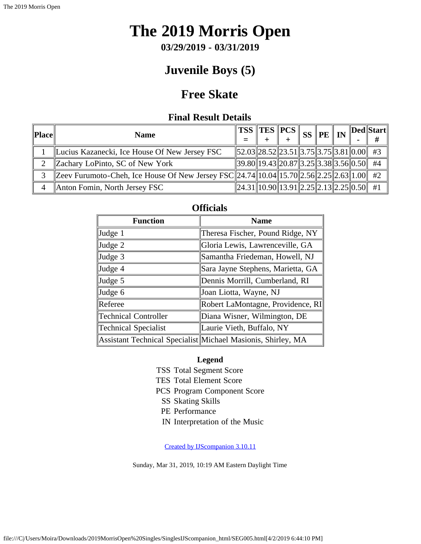**03/29/2019 - 03/31/2019**

## **Juvenile Boys (5)**

## **Free Skate**

### **Final Result Details**

<span id="page-23-0"></span>

| Place    | <b>Name</b>                                                                              | $\ {\bf \overline{TSS}\,} \ {\bf \overline{TES}}\, \ {\bf PCS}\, \  \, {\bf SS}\, \ {\bf PE}\, \  \, {\bf IN}\, \ ^\mathcal{P}$ |  |  | $\ $ Ded $\ $ Start $ $ |
|----------|------------------------------------------------------------------------------------------|---------------------------------------------------------------------------------------------------------------------------------|--|--|-------------------------|
|          | Lucius Kazanecki, Ice House Of New Jersey FSC                                            | $\ 52.03\ 28.52\ 23.51\ 3.75\ 3.75\ 3.81\ 0.00\ $ #3                                                                            |  |  |                         |
| 2        | Zachary LoPinto, SC of New York                                                          | $\ 39.80\ 19.43\ 20.87\ 3.25\ 3.38\ 3.56\ 0.50\ $ #4                                                                            |  |  |                         |
|          | Zeev Furumoto-Cheh, Ice House Of New Jersey FSC 24.74 10.04 15.70 2.56 2.25 2.63 1.00 #2 |                                                                                                                                 |  |  |                         |
| $\Delta$ | Anton Fomin, North Jersey FSC                                                            | $\ 24.31\ 10.90\ 13.91\ 2.25\ 2.13\ 2.25\ 0.50\ $ #1                                                                            |  |  |                         |

| <b>Function</b>             | <b>Name</b>                                                  |
|-----------------------------|--------------------------------------------------------------|
| Judge 1                     | Theresa Fischer, Pound Ridge, NY                             |
| Judge 2                     | Gloria Lewis, Lawrenceville, GA                              |
| Judge 3                     | Samantha Friedeman, Howell, NJ                               |
| Judge 4                     | Sara Jayne Stephens, Marietta, GA                            |
| Judge 5                     | Dennis Morrill, Cumberland, RI                               |
| Judge 6                     | Joan Liotta, Wayne, NJ                                       |
| Referee                     | Robert LaMontagne, Providence, RI                            |
| <b>Technical Controller</b> | Diana Wisner, Wilmington, DE                                 |
| <b>Technical Specialist</b> | Laurie Vieth, Buffalo, NY                                    |
|                             | Assistant Technical Specialist Michael Masionis, Shirley, MA |

#### **Officials**

#### **Legend**

TSS Total Segment Score

- TES Total Element Score
- PCS Program Component Score
	- SS Skating Skills
	- PE Performance
	- IN Interpretation of the Music

[Created by IJScompanion 3.10.11](http://www.usfigureskating.org/)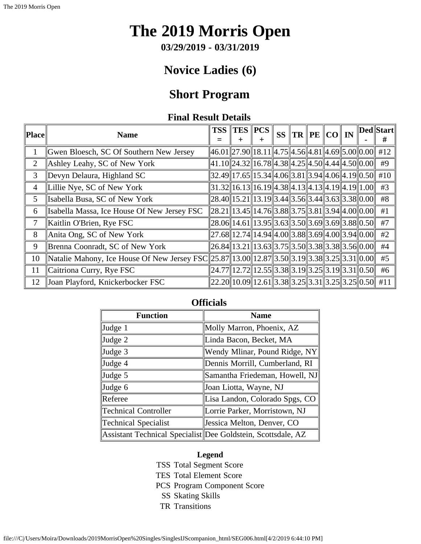**03/29/2019 - 03/31/2019**

## **Novice Ladies (6)**

## **Short Program**

### **Final Result Details**

<span id="page-24-0"></span>

| Place          | <b>Name</b>                                                                                 | <b>TSS</b>                                                        | <b>TES</b><br>┿ | $ {\bf PCS} $<br>┿                                            | <b>SS</b> | $\ {\rm TR}\,\ {\rm PE}\,\ {\rm CO}\ $ in |  | Ded  Start  <br># |
|----------------|---------------------------------------------------------------------------------------------|-------------------------------------------------------------------|-----------------|---------------------------------------------------------------|-----------|-------------------------------------------|--|-------------------|
|                | Gwen Bloesch, SC Of Southern New Jersey                                                     | $\ 46.01\ 27.90\ 18.11\ 4.75\ 4.56\ 4.81\ 4.69\ 5.00\ 0.00\ $ #12 |                 |                                                               |           |                                           |  |                   |
| $\overline{2}$ | Ashley Leahy, SC of New York                                                                | $\ 41.10\ 24.32\ 16.78\ 4.38\ 4.25\ 4.50\ 4.44\ 4.50\ 0.00\ $     |                 |                                                               |           |                                           |  | #9                |
| 3              | Devyn Delaura, Highland SC                                                                  |                                                                   |                 | 32.49  17.65  15.34  4.06  3.81  3.94  4.06  4.19  0.50   #10 |           |                                           |  |                   |
| $\overline{4}$ | Lillie Nye, SC of New York                                                                  |                                                                   |                 | $31.32$   16.13  16.19  4.38  4.13  4.13  4.19  4.19  1.00    |           |                                           |  | #3                |
| 5              | Isabella Busa, SC of New York                                                               | $\ 28.40\ 15.21\ 13.19\ 3.44\ 3.56\ 3.44\ 3.63\ 3.38\ 0.00\ $     |                 |                                                               |           |                                           |  | #8                |
| 6              | Isabella Massa, Ice House Of New Jersey FSC                                                 | $  28.21  13.45  14.76  3.88  3.75  3.81  3.94  4.00  0.00  $     |                 |                                                               |           |                                           |  | #1                |
| 7              | Kaitlin O'Brien, Rye FSC                                                                    | $\ 28.06\ 14.61\ 13.95\ 3.63\ 3.50\ 3.69\ 3.69\ 3.88\ 0.50\ $     |                 |                                                               |           |                                           |  | #7                |
| 8              | Anita Ong, SC of New York                                                                   | $\ 27.68\ 12.74\ 14.94\ 4.00\ 3.88\ 3.69\ 4.00\ 3.94\ 0.00\ $     |                 |                                                               |           |                                           |  | #2                |
| 9              | Brenna Coonradt, SC of New York                                                             |                                                                   |                 | $26.84$   13.21  13.63  3.75  3.50  3.38  3.38  3.56  0.00    |           |                                           |  | #4                |
| 10             | Natalie Mahony, Ice House Of New Jersey FSC 25.87 13.00 12.87 3.50 3.19 3.38 3.25 3.31 0.00 |                                                                   |                 |                                                               |           |                                           |  | #5                |
| 11             | Caitriona Curry, Rye FSC                                                                    | $\ 24.77\ 12.72\ 12.55\ 3.38\ 3.19\ 3.25\ 3.19\ 3.31\ 0.50\ $     |                 |                                                               |           |                                           |  | #6                |
| 12             | Joan Playford, Knickerbocker FSC                                                            | $\ 22.20\ 10.09\ 12.61\ 3.38\ 3.25\ 3.31\ 3.25\ 3.25\ 0.50\ $ #11 |                 |                                                               |           |                                           |  |                   |

| <b>Function</b>      | <b>Name</b>                                                  |
|----------------------|--------------------------------------------------------------|
| $\vert$ Judge 1      | Molly Marron, Phoenix, AZ                                    |
| $\vert$ Judge 2      | Linda Bacon, Becket, MA                                      |
| $\vert$ Judge 3      | Wendy Mlinar, Pound Ridge, NY                                |
| Judge 4              | Dennis Morrill, Cumberland, RI                               |
| $\vert$ Judge 5      | Samantha Friedeman, Howell, NJ                               |
| $\vert$ Judge 6      | Joan Liotta, Wayne, NJ                                       |
| Referee              | Lisa Landon, Colorado Spgs, CO                               |
| Technical Controller | Lorrie Parker, Morristown, NJ                                |
| Technical Specialist | Jessica Melton, Denver, CO                                   |
|                      | Assistant Technical Specialist Dee Goldstein, Scottsdale, AZ |

#### **Officials**

### **Legend**

- TSS Total Segment Score
- TES Total Element Score
- PCS Program Component Score
- SS Skating Skills
- TR Transitions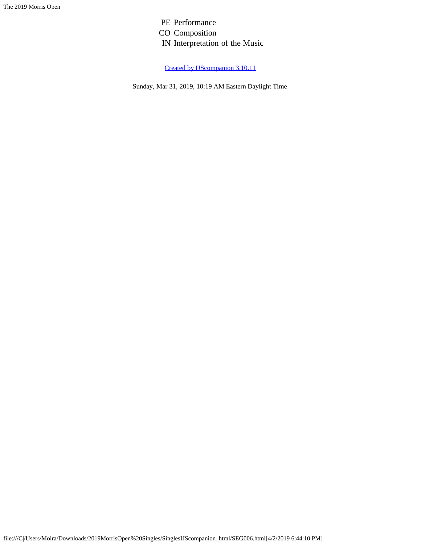PE Performance CO Composition IN Interpretation of the Music

[Created by IJScompanion 3.10.11](http://www.usfigureskating.org/)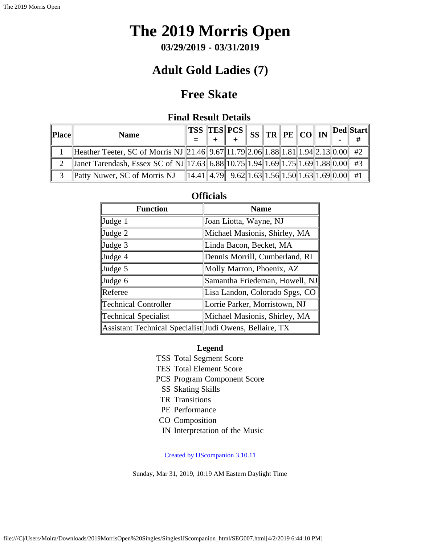**03/29/2019 - 03/31/2019**

## **Adult Gold Ladies (7)**

## **Free Skate**

### **Final Result Details**

<span id="page-26-0"></span>

| Place | <b>Name</b>                                                                                    |  | $\ $ TSS $\ $ TES $\ $ PCS $\ $                         |  | $\frac{1}{2}$ ss $\frac{1}{2}$ tr $\frac{1}{2}$ pe $\frac{1}{2}$ co $\frac{1}{2}$ in |  | Ded  Start |
|-------|------------------------------------------------------------------------------------------------|--|---------------------------------------------------------|--|--------------------------------------------------------------------------------------|--|------------|
|       | Heather Teeter, SC of Morris NJ   21.46   9.67  11.79  2.06  1.88  1.81  1.94  2.13  0.00   #2 |  |                                                         |  |                                                                                      |  |            |
|       | <b>Janet Tarendash, Essex SC of NJ</b> 17.63 6.88 10.75 1.94 1.69 1.75 1.69 1.88 0.00 #3       |  |                                                         |  |                                                                                      |  |            |
|       | Patty Nuwer, SC of Morris NJ                                                                   |  | $\ 14.41\ 4.79\ $ 9.62 1.63 1.56 1.50 1.63 1.69 0.00 #1 |  |                                                                                      |  |            |

#### **Officials**

| <b>Function</b>                                         | <b>Name</b>                    |
|---------------------------------------------------------|--------------------------------|
| $\vert$ Judge 1                                         | Joan Liotta, Wayne, NJ         |
| $\vert$ Judge 2                                         | Michael Masionis, Shirley, MA  |
| $\vert$ Judge 3                                         | Linda Bacon, Becket, MA        |
| Judge 4                                                 | Dennis Morrill, Cumberland, RI |
| $\vert$ Judge 5                                         | Molly Marron, Phoenix, AZ      |
| $\vert$ Judge 6                                         | Samantha Friedeman, Howell, NJ |
| Referee                                                 | Lisa Landon, Colorado Spgs, CO |
| Technical Controller                                    | Lorrie Parker, Morristown, NJ  |
| Technical Specialist                                    | Michael Masionis, Shirley, MA  |
| Assistant Technical Specialist Judi Owens, Bellaire, TX |                                |

#### **Legend**

- TSS Total Segment Score
- TES Total Element Score
- PCS Program Component Score
- SS Skating Skills
- TR Transitions
- PE Performance
- CO Composition
- IN Interpretation of the Music

[Created by IJScompanion 3.10.11](http://www.usfigureskating.org/)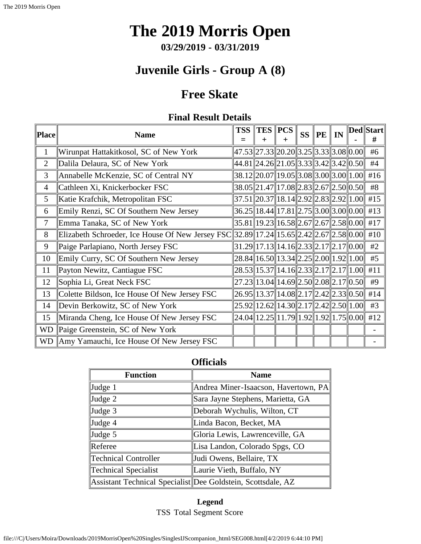**03/29/2019 - 03/31/2019**

## **Juvenile Girls - Group A (8)**

## **Free Skate**

### **Final Result Details**

<span id="page-27-0"></span>

| Place          | <b>Name</b>                                      | <b>TSS</b> | $TES$ $PCS$                                                                                                                       | $^{+}$ | <b>SS</b> | <b>PE</b> | IN | Ded  Start  <br># |
|----------------|--------------------------------------------------|------------|-----------------------------------------------------------------------------------------------------------------------------------|--------|-----------|-----------|----|-------------------|
| $\mathbf{1}$   | Wirunpat Hattakitkosol, SC of New York           |            | 47.53  27.33  20.20  3.25  3.33  3.08  0.00                                                                                       |        |           |           |    | #6                |
| $\overline{2}$ | Dalila Delaura, SC of New York                   |            | 44.81  24.26  21.05  3.33  3.42  3.42  0.50                                                                                       |        |           |           |    | #4                |
| 3              | Annabelle McKenzie, SC of Central NY             |            | $38.12 20.07 19.05 3.08 3.00 3.00 1.00 $                                                                                          |        |           |           |    | #16               |
| 4              | Cathleen Xi, Knickerbocker FSC                   |            | 38.05  21.47  17.08  2.83  2.67  2.50  0.50                                                                                       |        |           |           |    | #8                |
| 5              | Katie Krafchik, Metropolitan FSC                 |            | 37.51  20.37  18.14  2.92  2.83  2.92  1.00                                                                                       |        |           |           |    | #15               |
| 6              | Emily Renzi, SC Of Southern New Jersey           |            | 36.25  18.44  17.81  2.75  3.00  3.00  0.00                                                                                       |        |           |           |    | #13               |
| 7              | Emma Tanaka, SC of New York                      |            | $ 35.81 19.23 16.58 2.67 2.67 2.58 0.00 $                                                                                         |        |           |           |    | #17               |
| 8              | Elizabeth Schroeder, Ice House Of New Jersey FSC |            | $32.89$   17.24  15.65  2.42  2.67  2.58  0.00                                                                                    |        |           |           |    | #10               |
| 9              | Paige Parlapiano, North Jersey FSC               |            | 31.29  17.13  14.16  2.33  2.17  2.17  0.00                                                                                       |        |           |           |    | #2                |
| 10             | Emily Curry, SC Of Southern New Jersey           |            | $\left 28.84\right\ 16.50\right\ 13.34\left\ 2.25\right\ 2.00\left\ 1.92\right\ 1.00\right\ $                                     |        |           |           |    | #5                |
| 11             | Payton Newitz, Cantiague FSC                     |            | 28.53  15.37  14.16  2.33  2.17  2.17  1.00                                                                                       |        |           |           |    | #11               |
| 12             | Sophia Li, Great Neck FSC                        |            | 27.23  13.04  14.69  2.50  2.08  2.17  0.50                                                                                       |        |           |           |    | #9                |
| 13             | Colette Bildson, Ice House Of New Jersey FSC     |            | $\left  26.95 \right\  13.37 \right\  14.08 \left\  2.17 \right\  2.42 \left\  2.33 \right\  0.50 \left\ $                        |        |           |           |    | #14               |
| 14             | Devin Berkowitz, SC of New York                  |            | $\vert 25.92 \vert \vert 12.62 \vert \vert 14.30 \vert \vert 2.17 \vert \vert 2.42 \vert \vert 2.50 \vert \vert 1.00 \vert \vert$ |        |           |           |    | #3                |
| 15             | Miranda Cheng, Ice House Of New Jersey FSC       |            | $24.04$   12.25  11.79  1.92  1.92  1.75  0.00                                                                                    |        |           |           |    | #12               |
| WD             | Paige Greenstein, SC of New York                 |            |                                                                                                                                   |        |           |           |    |                   |
| <b>WD</b>      | Amy Yamauchi, Ice House Of New Jersey FSC        |            |                                                                                                                                   |        |           |           |    |                   |

#### **Officials**

| <b>Function</b>             | <b>Name</b>                                                  |
|-----------------------------|--------------------------------------------------------------|
| $\vert$ Judge 1             | Andrea Miner-Isaacson, Havertown, PA                         |
| $\vert$ Judge 2             | Sara Jayne Stephens, Marietta, GA                            |
| $\vert$ Judge 3             | Deborah Wychulis, Wilton, CT                                 |
| $\vert$ Judge 4             | Linda Bacon, Becket, MA                                      |
| $\vert$ Judge 5             | Gloria Lewis, Lawrenceville, GA                              |
| Referee                     | Lisa Landon, Colorado Spgs, CO                               |
| <b>Technical Controller</b> | Judi Owens, Bellaire, TX                                     |
| Technical Specialist        | Laurie Vieth, Buffalo, NY                                    |
|                             | Assistant Technical Specialist Dee Goldstein, Scottsdale, AZ |

**Legend** TSS Total Segment Score

file:///C|/Users/Moira/Downloads/2019MorrisOpen%20Singles/SinglesIJScompanion\_html/SEG008.html[4/2/2019 6:44:10 PM]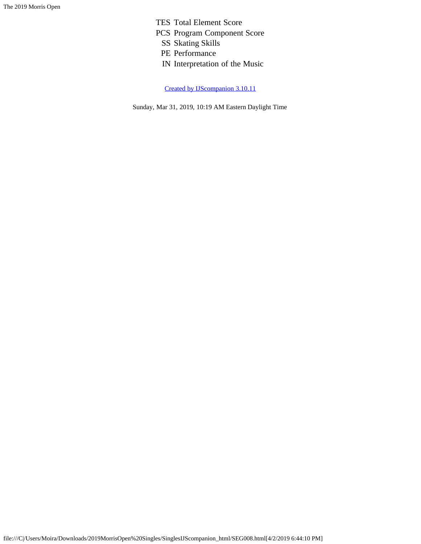TES Total Element Score

- PCS Program Component Score
	- SS Skating Skills
	- PE Performance
	- IN Interpretation of the Music

[Created by IJScompanion 3.10.11](http://www.usfigureskating.org/)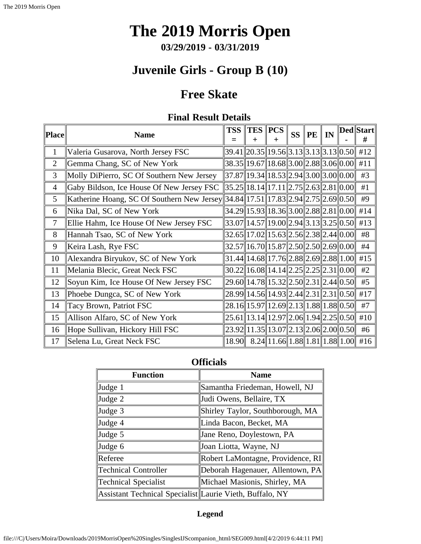**03/29/2019 - 03/31/2019**

# **Juvenile Girls - Group B (10)**

## **Free Skate**

### **Final Result Details**

<span id="page-29-0"></span>

| Place          | <b>Name</b>                                                                             | <b>TSS</b> | $TES$ $PCS$<br>┿                                                                                             | $\mathrm{+}$ | <b>SS</b> | <b>PE</b> | IN | Ded  Start <br># |
|----------------|-----------------------------------------------------------------------------------------|------------|--------------------------------------------------------------------------------------------------------------|--------------|-----------|-----------|----|------------------|
| 1              | Valeria Gusarova, North Jersey FSC                                                      |            | $39.41$   20.35  19.56  3.13  3.13  3.13  0.50   #12                                                         |              |           |           |    |                  |
| $\overline{2}$ | Gemma Chang, SC of New York                                                             |            | $38.35  19.67  18.68  3.00  2.88  3.06  0.00  $                                                              |              |           |           |    | #11              |
| 3              | Molly DiPierro, SC Of Southern New Jersey                                               |            | 37.87  19.34  18.53  2.94  3.00  3.00  0.00                                                                  |              |           |           |    | #3               |
| $\overline{4}$ | Gaby Bildson, Ice House Of New Jersey FSC                                               |            | $35.25$   18.14  17.11  2.75  2.63  2.81  0.00                                                               |              |           |           |    | #1               |
| 5              | Katherine Hoang, SC Of Southern New Jersey  34.84  17.51  17.83  2.94  2.75  2.69  0.50 |            |                                                                                                              |              |           |           |    | #9               |
| 6              | Nika Dal, SC of New York                                                                |            | $34.29$   15.93  18.36  3.00  2.88  2.81  0.00                                                               |              |           |           |    | #14              |
| $\overline{7}$ | Ellie Hahm, Ice House Of New Jersey FSC                                                 |            | $\left 33.07\right 14.57\left 19.00\right 2.94\left 3.13\right 3.25\left 0.50\right $                        |              |           |           |    | #13              |
| 8              | Hannah Tsao, SC of New York                                                             |            | $32.65$   17.02  15.63  2.56  2.38  2.44  0.00                                                               |              |           |           |    | #8               |
| 9              | Keira Lash, Rye FSC                                                                     |            | $32.57\ 16.70\ 15.87\ 2.50\ 2.50\ 2.69\ 0.00\ $                                                              |              |           |           |    | #4               |
| 10             | Alexandra Biryukov, SC of New York                                                      |            | $31.44$   14.68  17.76  2.88  2.69  2.88  1.00                                                               |              |           |           |    | #15              |
| 11             | Melania Blecic, Great Neck FSC                                                          |            | $30.22 \  16.08 \  14.14 \  2.25 \  2.25 \  2.31 \  0.00 \ $                                                 |              |           |           |    | #2               |
| 12             | Soyun Kim, Ice House Of New Jersey FSC                                                  |            | 29.60  14.78  15.32  2.50  2.31  2.44  0.50                                                                  |              |           |           |    | #5               |
| 13             | Phoebe Dungca, SC of New York                                                           |            | 28.99 14.56 14.93 2.44 2.31 2.31 0.50                                                                        |              |           |           |    | #17              |
| 14             | Tacy Brown, Patriot FSC                                                                 |            | 28.16 15.97 12.69 2.13 1.88 1.88 0.50                                                                        |              |           |           |    | #7               |
| 15             | Allison Alfaro, SC of New York                                                          |            | $25.61$   13.14  12.97  2.06  1.94  2.25  0.50                                                               |              |           |           |    | #10              |
| 16             | Hope Sullivan, Hickory Hill FSC                                                         |            | 23.92 11.35 13.07 2.13 2.06 2.00 0.50                                                                        |              |           |           |    | #6               |
| 17             | Selena Lu, Great Neck FSC                                                               |            | $18.90\%$ $8.24\%$ 11.66 $\parallel$ 1.88 $\parallel$ 1.81 $\parallel$ 1.88 $\parallel$ 1.00 $\parallel$ #16 |              |           |           |    |                  |

**Officials**

| <b>Function</b>                                          | <b>Name</b>                       |
|----------------------------------------------------------|-----------------------------------|
| Judge 1                                                  | Samantha Friedeman, Howell, NJ    |
| Judge 2                                                  | Judi Owens, Bellaire, TX          |
| Judge 3                                                  | Shirley Taylor, Southborough, MA  |
| Judge 4                                                  | Linda Bacon, Becket, MA           |
| Judge 5                                                  | Jane Reno, Doylestown, PA         |
| Judge 6                                                  | Joan Liotta, Wayne, NJ            |
| Referee                                                  | Robert LaMontagne, Providence, RI |
| <b>Technical Controller</b>                              | Deborah Hagenauer, Allentown, PA  |
| Technical Specialist                                     | Michael Masionis, Shirley, MA     |
| Assistant Technical Specialist Laurie Vieth, Buffalo, NY |                                   |

#### **Legend**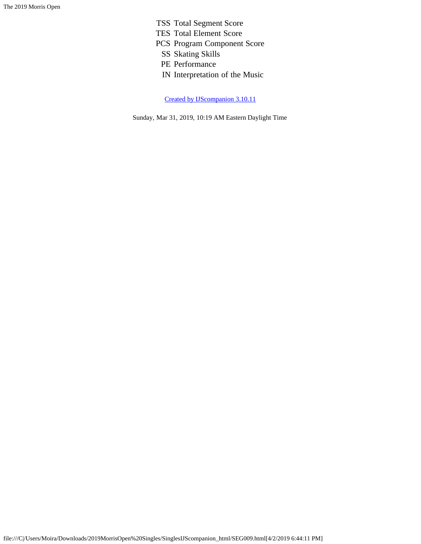- TSS Total Segment Score
- TES Total Element Score
- PCS Program Component Score
	- SS Skating Skills
	- PE Performance
	- IN Interpretation of the Music

[Created by IJScompanion 3.10.11](http://www.usfigureskating.org/)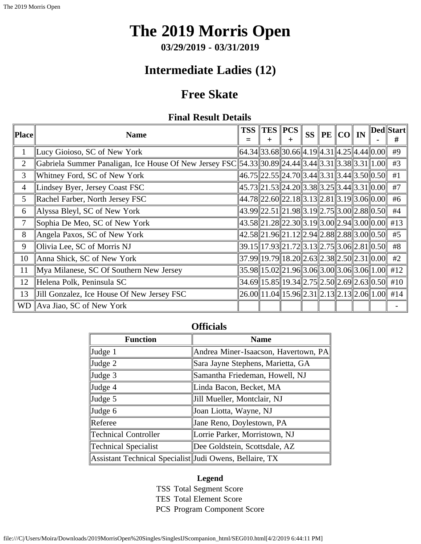# **The 2019 Morris Open**

**03/29/2019 - 03/31/2019**

## **Intermediate Ladies (12)**

## **Free Skate**

### **Final Result Details**

<span id="page-31-0"></span>

| <b>Place</b>    | <b>Name</b>                                                                                       | <b>TSS</b> | <b>TES PCS</b><br>$\div$ | $\ddot{}$                                                                                                                                          |  | SS   PE $ CO $ IN |  | Ded  Start  <br># |
|-----------------|---------------------------------------------------------------------------------------------------|------------|--------------------------|----------------------------------------------------------------------------------------------------------------------------------------------------|--|-------------------|--|-------------------|
| $\mathbf{1}$    | Lucy Gioioso, SC of New York                                                                      |            |                          | $\  64.34 \  33.68 \  30.66 \  4.19 \  4.31 \  4.25 \  4.44 \  0.00 \ $                                                                            |  |                   |  | #9                |
| $\overline{2}$  | Gabriela Summer Panaligan, Ice House Of New Jersey FSC 54.33 30.89 24.44 3.44 3.31 3.38 3.31 1.00 |            |                          |                                                                                                                                                    |  |                   |  | #3                |
| 3               | Whitney Ford, SC of New York                                                                      |            |                          | $\ 46.75\ 22.55\ 24.70\ 3.44\ 3.31\ 3.44\ 3.50\ 0.50\ $                                                                                            |  |                   |  | #1                |
| $\overline{4}$  | Lindsey Byer, Jersey Coast FSC                                                                    |            |                          | $45.73$   21.53  24.20  3.38  3.25  3.44  3.31  0.00                                                                                               |  |                   |  | $#7$              |
| 5               | Rachel Farber, North Jersey FSC                                                                   |            |                          | $44.78$   22.60  22.18  3.13  2.81  3.19  3.06  0.00                                                                                               |  |                   |  | #6                |
| 6               | Alyssa Bleyl, SC of New York                                                                      |            |                          | $\ 43.99\ 22.51\ 21.98\ 3.19\ 2.75\ 3.00\ 2.88\ 0.50\ $                                                                                            |  |                   |  | #4                |
| 7               | Sophia De Meo, SC of New York                                                                     |            |                          | $43.58$   21.28  22.30  3.19  3.00  2.94  3.00  0.00                                                                                               |  |                   |  | #13               |
| 8               | Angela Paxos, SC of New York                                                                      |            |                          | $\ 42.58\ 21.96\ 21.12\ 2.94\ 2.88\ 2.88\ 3.00\ 0.50\ $                                                                                            |  |                   |  | #5                |
| 9               | Olivia Lee, SC of Morris NJ                                                                       |            |                          | $39.15$   17.93  21.72  3.13  2.75  3.06  2.81  0.50                                                                                               |  |                   |  | #8                |
| 10              | Anna Shick, SC of New York                                                                        |            |                          | $\vert 37.99 \vert \vert 19.79 \vert \vert 18.20 \vert \vert 2.63 \vert \vert 2.38 \vert \vert 2.50 \vert \vert 2.31 \vert \vert 0.00 \vert \vert$ |  |                   |  | #2                |
| 11              | Mya Milanese, SC Of Southern New Jersey                                                           |            |                          | $ 35.98 15.02 21.96 3.06 3.00 3.06 3.06 1.00 $ #12                                                                                                 |  |                   |  |                   |
| 12              | Helena Polk, Peninsula SC                                                                         |            |                          | $34.69$   15.85  19.34  2.75  2.50  2.69  2.63  0.50   #10                                                                                         |  |                   |  |                   |
| 13              | Jill Gonzalez, Ice House Of New Jersey FSC                                                        |            |                          | $\left 26.00\right 11.04\left 15.96\right 2.31\left 2.13\right 2.13\left 2.06\right 1.00\left 414\right $                                          |  |                   |  |                   |
| WD <sub>1</sub> | Ava Jiao, SC of New York                                                                          |            |                          |                                                                                                                                                    |  |                   |  |                   |

### **Officials**

| <b>Function</b>                                         | <b>Name</b>                          |
|---------------------------------------------------------|--------------------------------------|
| Judge 1                                                 | Andrea Miner-Isaacson, Havertown, PA |
| Judge 2                                                 | Sara Jayne Stephens, Marietta, GA    |
| Judge 3                                                 | Samantha Friedeman, Howell, NJ       |
| Judge 4                                                 | Linda Bacon, Becket, MA              |
| Judge 5                                                 | Jill Mueller, Montclair, NJ          |
| Judge 6                                                 | Joan Liotta, Wayne, NJ               |
| Referee                                                 | Jane Reno, Doylestown, PA            |
| <b>Technical Controller</b>                             | Lorrie Parker, Morristown, NJ        |
| Technical Specialist                                    | Dee Goldstein, Scottsdale, AZ        |
| Assistant Technical Specialist Judi Owens, Bellaire, TX |                                      |

#### **Legend**

TSS Total Segment Score TES Total Element Score PCS Program Component Score

file:///C|/Users/Moira/Downloads/2019MorrisOpen%20Singles/SinglesIJScompanion\_html/SEG010.html[4/2/2019 6:44:11 PM]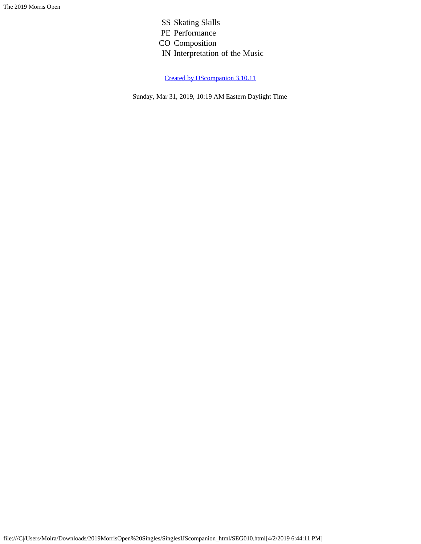SS Skating Skills PE Performance CO Composition IN Interpretation of the Music

[Created by IJScompanion 3.10.11](http://www.usfigureskating.org/)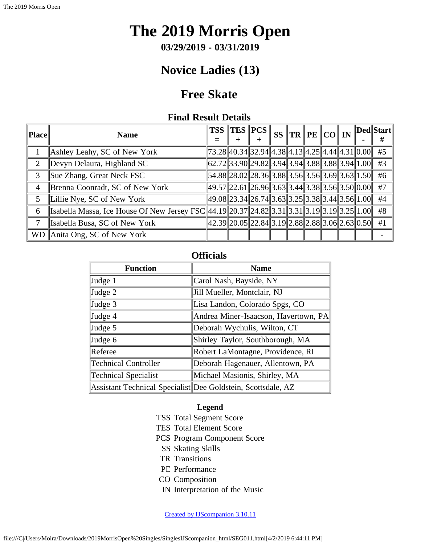**03/29/2019 - 03/31/2019**

# **Novice Ladies (13)**

## **Free Skate**

### **Final Result Details**

<span id="page-33-0"></span>

| <b>Place</b> | <b>Name</b>                                                                                      | <b>TSS TES PCS</b>                                                                                                                                                                                                                                                                                                                                        |  |  | SS $\ {\rm TR}\,\ {\rm PE}\,\ {\rm CO}\ $ IN |  | $\ $ Ded $\ $ Start $\ $<br># |
|--------------|--------------------------------------------------------------------------------------------------|-----------------------------------------------------------------------------------------------------------------------------------------------------------------------------------------------------------------------------------------------------------------------------------------------------------------------------------------------------------|--|--|----------------------------------------------|--|-------------------------------|
|              | Ashley Leahy, SC of New York                                                                     | $\vert 73.28 \vert 40.34 \vert 32.94 \vert 4.38 \vert 4.13 \vert 4.25 \vert 4.44 \vert 4.31 \vert 0.00 \vert 1.00 \vert 1.00 \vert 1.00 \vert 1.00 \vert 1.00 \vert 1.00 \vert 1.00 \vert 1.00 \vert 1.00 \vert 1.00 \vert 1.00 \vert 1.00 \vert 1.00 \vert 1.00 \vert 1.00 \vert 1.00 \vert 1.00 \vert 1.00 \vert 1.00 \vert 1.00 \vert 1.00 \vert 1.00$ |  |  |                                              |  | #5                            |
| 2            | Devyn Delaura, Highland SC                                                                       | $\ 62.72\ 33.90\ 29.82\ 3.94\ 3.94\ 3.88\ 3.88\ 3.94\ 1.00\ $                                                                                                                                                                                                                                                                                             |  |  |                                              |  | #3                            |
| 3            | Sue Zhang, Great Neck FSC                                                                        | $\ 54.88\ 28.02\ 28.36\ 3.88\ 3.56\ 3.56\ 3.69\ 3.63\ 1.50\ $                                                                                                                                                                                                                                                                                             |  |  |                                              |  | #6                            |
| 4            | Brenna Coonradt, SC of New York                                                                  | $\ 49.57\ 22.61\ 26.96\ 3.63\ 3.44\ 3.38\ 3.56\ 3.50\ 0.00\ $                                                                                                                                                                                                                                                                                             |  |  |                                              |  | #7                            |
| 5            | Lillie Nye, SC of New York                                                                       | 49.08  23.34  26.74  3.63  3.25  3.38  3.44  3.56  1.00                                                                                                                                                                                                                                                                                                   |  |  |                                              |  | #4                            |
| 6            | Isabella Massa, Ice House Of New Jersey FSC 44.19 20.37 24.82 3.31 3.31 3.31 3.19 3.19 3.25 1.00 |                                                                                                                                                                                                                                                                                                                                                           |  |  |                                              |  | #8                            |
| 7            | Isabella Busa, SC of New York                                                                    | $\ 42.39\ 20.05\ 22.84\ 3.19\ 2.88\ 2.88\ 3.06\ 2.63\ 0.50\ $                                                                                                                                                                                                                                                                                             |  |  |                                              |  | #1                            |
| WD.          | Anita Ong, SC of New York                                                                        |                                                                                                                                                                                                                                                                                                                                                           |  |  |                                              |  |                               |

### **Officials**

| <b>Function</b>      | <b>Name</b>                                                  |
|----------------------|--------------------------------------------------------------|
| $\vert$ Judge 1      | Carol Nash, Bayside, NY                                      |
| $\vert$ Judge 2      | Jill Mueller, Montclair, NJ                                  |
| $\vert$ Judge 3      | Lisa Landon, Colorado Spgs, CO                               |
| $\vert$ Judge 4      | Andrea Miner-Isaacson, Havertown, PA                         |
| $\vert$ Judge 5      | Deborah Wychulis, Wilton, CT                                 |
| $\vert$ Judge 6      | Shirley Taylor, Southborough, MA                             |
| Referee              | Robert LaMontagne, Providence, RI                            |
| Technical Controller | Deborah Hagenauer, Allentown, PA                             |
| Technical Specialist | Michael Masionis, Shirley, MA                                |
|                      | Assistant Technical Specialist Dee Goldstein, Scottsdale, AZ |

#### **Legend**

- TSS Total Segment Score
- TES Total Element Score
- PCS Program Component Score
	- SS Skating Skills
- TR Transitions
- PE Performance
- CO Composition
- IN Interpretation of the Music

[Created by IJScompanion 3.10.11](http://www.usfigureskating.org/)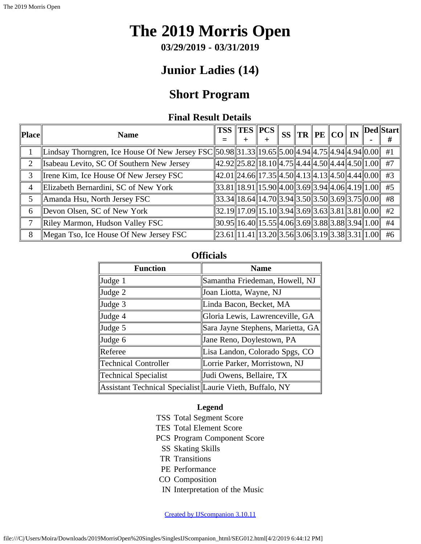**03/29/2019 - 03/31/2019**

## **Junior Ladies (14)**

## **Short Program**

### **Final Result Details**

<span id="page-35-0"></span>

| Place | <b>Name</b>                                                                                    | <b>TSS</b>                                                    | $\ {\rm TES}\,\ {\rm PCs}\ $                               |  |  |  | $^{\textrm{H}}$ SS $\Vert \mathbf{TR} \Vert \mathbf{PE} \Vert \mathbf{CO} \Vert$ IN $\Vert \mathbf{Ded} \Vert \mathbf{Start} \Vert$<br># |
|-------|------------------------------------------------------------------------------------------------|---------------------------------------------------------------|------------------------------------------------------------|--|--|--|------------------------------------------------------------------------------------------------------------------------------------------|
|       | Lindsay Thorngren, Ice House Of New Jersey FSC 50.98 31.33 19.65 5.00 4.94 4.75 4.94 4.94 0.00 |                                                               |                                                            |  |  |  | #1                                                                                                                                       |
| 2     | Isabeau Levito, SC Of Southern New Jersey                                                      | 42.92  25.82  18.10  4.75  4.44  4.50  4.44  4.50  1.00       |                                                            |  |  |  | #7                                                                                                                                       |
| 3     | Irene Kim, Ice House Of New Jersey FSC                                                         | 42.01  24.66  17.35  4.50  4.13  4.13  4.50  4.44  0.00       |                                                            |  |  |  | #3                                                                                                                                       |
| 4     | Elizabeth Bernardini, SC of New York                                                           |                                                               | $33.81$   18.91  15.90  4.00  3.69  3.94  4.06  4.19  1.00 |  |  |  | #5                                                                                                                                       |
| 5     | Amanda Hsu, North Jersey FSC                                                                   | $\ 33.34\ 18.64\ 14.70\ 3.94\ 3.50\ 3.50\ 3.69\ 3.75\ 0.00\ $ |                                                            |  |  |  | #8                                                                                                                                       |
| 6     | Devon Olsen, SC of New York                                                                    |                                                               | $32.19$   17.09  15.10  3.94  3.69  3.63  3.81  3.81  0.00 |  |  |  | #2                                                                                                                                       |
| 7     | Riley Marmon, Hudson Valley FSC                                                                | $\ 30.95\ 16.40\ 15.55\ 4.06\ 3.69\ 3.88\ 3.88\ 3.94\ 1.00\ $ |                                                            |  |  |  | #4                                                                                                                                       |
| 8     | Megan Tso, Ice House Of New Jersey FSC                                                         | $\ 23.61\ 11.41\ 13.20\ 3.56\ 3.06\ 3.19\ 3.38\ 3.31\ 1.00\ $ |                                                            |  |  |  | #6                                                                                                                                       |

### **Officials**

| <b>Function</b>                                          | <b>Name</b>                       |
|----------------------------------------------------------|-----------------------------------|
| Judge 1                                                  | Samantha Friedeman, Howell, NJ    |
| $\vert$ Judge 2                                          | Joan Liotta, Wayne, NJ            |
| $\vert$ Judge 3                                          | Linda Bacon, Becket, MA           |
| Judge 4                                                  | Gloria Lewis, Lawrenceville, GA   |
| $\vert$ Judge 5                                          | Sara Jayne Stephens, Marietta, GA |
| Judge 6                                                  | Jane Reno, Doylestown, PA         |
| Referee                                                  | Lisa Landon, Colorado Spgs, CO    |
| Technical Controller                                     | Lorrie Parker, Morristown, NJ     |
| Technical Specialist                                     | Judi Owens, Bellaire, TX          |
| Assistant Technical Specialist Laurie Vieth, Buffalo, NY |                                   |

#### **Legend**

- TSS Total Segment Score
- TES Total Element Score
- PCS Program Component Score
	- SS Skating Skills
- TR Transitions
- PE Performance
- CO Composition
- IN Interpretation of the Music

[Created by IJScompanion 3.10.11](http://www.usfigureskating.org/)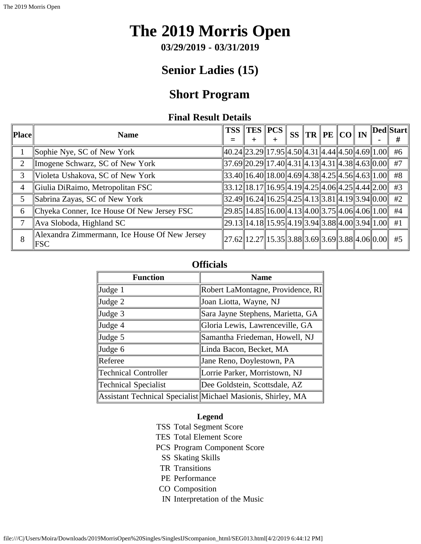**03/29/2019 - 03/31/2019**

## **Senior Ladies (15)**

## **Short Program**

### **Final Result Details**

<span id="page-37-0"></span>

| Place          | <b>Name</b>                                                 | <b>TSS</b> | $\ {\rm TES}\,\ {\rm PCs}\,\ $                                                                                                                                                                                                                                                                                                                                                                                                 |  |  | $SS$ $TR$ $PE$ $CO$ $IN$ |  | Ded  Start |
|----------------|-------------------------------------------------------------|------------|--------------------------------------------------------------------------------------------------------------------------------------------------------------------------------------------------------------------------------------------------------------------------------------------------------------------------------------------------------------------------------------------------------------------------------|--|--|--------------------------|--|------------|
|                | Sophie Nye, SC of New York                                  |            | $40.24$   23.29  17.95  4.50  4.31  4.44  4.50  4.69  1.00   #6                                                                                                                                                                                                                                                                                                                                                                |  |  |                          |  |            |
| 2              | Imogene Schwarz, SC of New York                             |            | $37.69$   20.29  17.40  4.31  4.13  4.31  4.38  4.63  0.00                                                                                                                                                                                                                                                                                                                                                                     |  |  |                          |  | #7         |
| 3              | Violeta Ushakova, SC of New York                            |            | $33.40$   16.40  18.00  4.69  4.38  4.25  4.56  4.63  1.00                                                                                                                                                                                                                                                                                                                                                                     |  |  |                          |  | #8         |
| $\overline{4}$ | Giulia DiRaimo, Metropolitan FSC                            |            | $\left 33.12\right 18.17\right 16.95\right 4.19\left 4.25\right 4.06\left 4.25\right 4.44\left 2.00\right $ #3                                                                                                                                                                                                                                                                                                                 |  |  |                          |  |            |
| 5              | Sabrina Zayas, SC of New York                               |            | $32.49$   16.24  16.25  4.25  4.13  3.81  4.19  3.94  0.00                                                                                                                                                                                                                                                                                                                                                                     |  |  |                          |  | #2         |
| 6              | Chyeka Conner, Ice House Of New Jersey FSC                  |            | $\vert 29.85 \vert \vert 14.85 \vert \vert 16.00 \vert \vert 4.13 \vert \vert 4.00 \vert \vert 3.75 \vert \vert 4.06 \vert \vert 4.06 \vert \vert 1.00 \vert \vert 1.00 \vert \vert 1.00 \vert \vert 1.00 \vert \vert 1.00 \vert \vert 1.00 \vert \vert 1.00 \vert \vert 1.00 \vert \vert 1.00 \vert \vert 1.00 \vert \vert 1.00 \vert \vert 1.00 \vert \vert 1.00 \vert \vert 1.00 \vert \vert 1.00 \vert \vert 1.00 \vert \$ |  |  |                          |  | #4         |
|                | Ava Sloboda, Highland SC                                    |            | $\ 29.13\ 14.18\ 15.95\ 4.19\ 3.94\ 3.88\ 4.00\ 3.94\ 1.00\ $ #1                                                                                                                                                                                                                                                                                                                                                               |  |  |                          |  |            |
| 8              | Alexandra Zimmermann, Ice House Of New Jersey<br><b>FSC</b> |            | $\ 27.62\ 12.27\ 15.35\ 3.88\ 3.69\ 3.69\ 3.88\ 4.06\ 0.00\ $ #5                                                                                                                                                                                                                                                                                                                                                               |  |  |                          |  |            |

#### **Officials**

| <b>Function</b>             | <b>Name</b>                                                  |  |  |  |  |  |  |  |  |
|-----------------------------|--------------------------------------------------------------|--|--|--|--|--|--|--|--|
| Judge 1                     | Robert LaMontagne, Providence, RI                            |  |  |  |  |  |  |  |  |
| Judge 2                     | Joan Liotta, Wayne, NJ                                       |  |  |  |  |  |  |  |  |
| Judge 3                     | Sara Jayne Stephens, Marietta, GA                            |  |  |  |  |  |  |  |  |
| Judge 4                     | Gloria Lewis, Lawrenceville, GA                              |  |  |  |  |  |  |  |  |
| Judge 5                     | Samantha Friedeman, Howell, NJ                               |  |  |  |  |  |  |  |  |
| Judge 6                     | Linda Bacon, Becket, MA                                      |  |  |  |  |  |  |  |  |
| Referee                     | Jane Reno, Doylestown, PA                                    |  |  |  |  |  |  |  |  |
| <b>Technical Controller</b> | Lorrie Parker, Morristown, NJ                                |  |  |  |  |  |  |  |  |
| <b>Technical Specialist</b> | Dee Goldstein, Scottsdale, AZ                                |  |  |  |  |  |  |  |  |
|                             | Assistant Technical Specialist Michael Masionis, Shirley, MA |  |  |  |  |  |  |  |  |

#### **Legend**

- TSS Total Segment Score
- TES Total Element Score
- PCS Program Component Score
	- SS Skating Skills
	- TR Transitions
	- PE Performance
- CO Composition
- IN Interpretation of the Music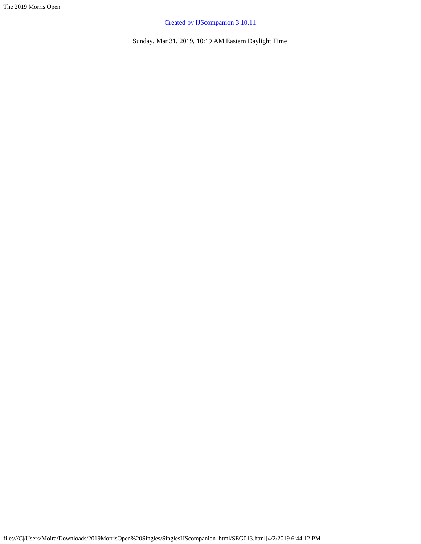[Created by IJScompanion 3.10.11](http://www.usfigureskating.org/)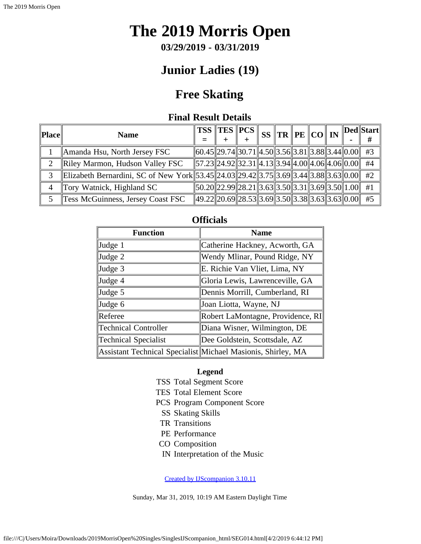**03/29/2019 - 03/31/2019**

## **Junior Ladies (19)**

## **Free Skating**

### **Final Result Details**

<span id="page-39-0"></span>

| Place | <b>Name</b>                                                                             |  | $\ TSS\ TES\ PCS\ SS\ TR\ PE\ CO\ IN\$                           |  |  |  | Ded  Start |
|-------|-----------------------------------------------------------------------------------------|--|------------------------------------------------------------------|--|--|--|------------|
|       | Amanda Hsu, North Jersey FSC                                                            |  | $\ 60.45\ 29.74\ 30.71\ 4.50\ 3.56\ 3.81\ 3.88\ 3.44\ 0.00\ $ #3 |  |  |  |            |
|       | Riley Marmon, Hudson Valley FSC                                                         |  | $\ 57.23\ 24.92\ 32.31\ 4.13\ 3.94\ 4.00\ 4.06\ 4.06\ 0.00\ $ #4 |  |  |  |            |
|       | Elizabeth Bernardini, SC of New York 53.45 24.03 29.42 3.75 3.69 3.44 3.88 3.63 0.00 #2 |  |                                                                  |  |  |  |            |
| 4     | Tory Watnick, Highland SC                                                               |  | $\ 50.20\ 22.99\ 28.21\ 3.63\ 3.50\ 3.31\ 3.69\ 3.50\ 1.00\ $    |  |  |  | #1         |
|       | Tess McGuinness, Jersey Coast FSC                                                       |  | $\ 49.22\ 20.69\ 28.53\ 3.69\ 3.50\ 3.38\ 3.63\ 3.63\ 0.00\ $    |  |  |  | #5         |

| <b>Function</b>      | <b>Name</b>                                                  |
|----------------------|--------------------------------------------------------------|
| Judge 1              | Catherine Hackney, Acworth, GA                               |
| Judge 2              | Wendy Mlinar, Pound Ridge, NY                                |
| Judge 3              | E. Richie Van Vliet, Lima, NY                                |
| Judge 4              | Gloria Lewis, Lawrenceville, GA                              |
| Judge 5              | Dennis Morrill, Cumberland, RI                               |
| Judge 6              | Joan Liotta, Wayne, NJ                                       |
| Referee              | Robert LaMontagne, Providence, RI                            |
| Technical Controller | Diana Wisner, Wilmington, DE                                 |
| Technical Specialist | Dee Goldstein, Scottsdale, AZ                                |
|                      | Assistant Technical Specialist Michael Masionis, Shirley, MA |

### **Officials**

#### **Legend**

- TSS Total Segment Score
- TES Total Element Score
- PCS Program Component Score
- SS Skating Skills
- TR Transitions
- PE Performance
- CO Composition
- IN Interpretation of the Music

[Created by IJScompanion 3.10.11](http://www.usfigureskating.org/)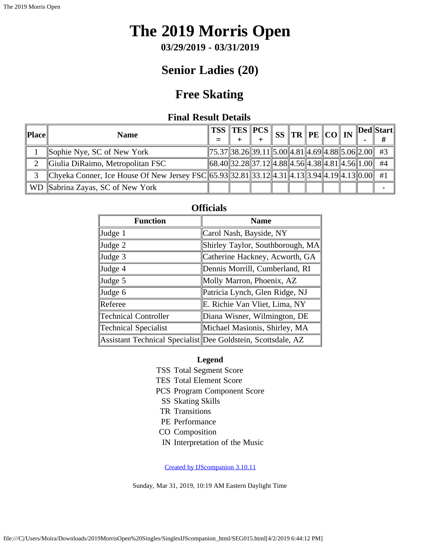**03/29/2019 - 03/31/2019**

## **Senior Ladies (20)**

## **Free Skating**

### **Final Result Details**

<span id="page-40-0"></span>

| Place | <b>Name</b>                                                                                   |  | $\frac{1}{\sqrt{2}}\left\Vert \text{TES}\right\Vert \text{FCS}\right\Vert$ $\frac{1}{\sqrt{2}}\left\Vert \text{TE}\right\Vert \text{TE}\left\Vert \text{CO}\right\Vert \text{IN}$ |  |  |  | $\ $ Ded $\ $ Start $\ $ |
|-------|-----------------------------------------------------------------------------------------------|--|-----------------------------------------------------------------------------------------------------------------------------------------------------------------------------------|--|--|--|--------------------------|
|       | Sophie Nye, SC of New York                                                                    |  | $\ 75.37\ 38.26\ 39.11\ 5.00\ 4.81\ 4.69\ 4.88\ 5.06\ 2.00\ $ #3                                                                                                                  |  |  |  |                          |
|       | Giulia DiRaimo, Metropolitan FSC                                                              |  | $\ 68.40\ 32.28\ 37.12\ 4.88\ 4.56\ 4.38\ 4.81\ 4.56\ 1.00\ $ #4                                                                                                                  |  |  |  |                          |
| 3     | Chyeka Conner, Ice House Of New Jersey FSC 65.93 32.81 33.12 4.31 4.13 3.94 4.19 4.13 0.00 #1 |  |                                                                                                                                                                                   |  |  |  |                          |
|       | WD Sabrina Zayas, SC of New York                                                              |  |                                                                                                                                                                                   |  |  |  |                          |

| <b>Officials</b>            |                                                              |  |  |  |  |  |  |  |
|-----------------------------|--------------------------------------------------------------|--|--|--|--|--|--|--|
| <b>Function</b>             | <b>Name</b>                                                  |  |  |  |  |  |  |  |
| Judge 1                     | Carol Nash, Bayside, NY                                      |  |  |  |  |  |  |  |
| Judge 2                     | Shirley Taylor, Southborough, MA                             |  |  |  |  |  |  |  |
| Judge 3                     | Catherine Hackney, Acworth, GA                               |  |  |  |  |  |  |  |
| Judge 4                     | Dennis Morrill, Cumberland, RI                               |  |  |  |  |  |  |  |
| Judge 5                     | Molly Marron, Phoenix, AZ                                    |  |  |  |  |  |  |  |
| Judge 6                     | Patricia Lynch, Glen Ridge, NJ                               |  |  |  |  |  |  |  |
| Referee                     | E. Richie Van Vliet, Lima, NY                                |  |  |  |  |  |  |  |
| <b>Technical Controller</b> | Diana Wisner, Wilmington, DE                                 |  |  |  |  |  |  |  |
| <b>Technical Specialist</b> | Michael Masionis, Shirley, MA                                |  |  |  |  |  |  |  |
|                             | Assistant Technical Specialist Dee Goldstein, Scottsdale, AZ |  |  |  |  |  |  |  |

#### **Legend**

- TSS Total Segment Score
- TES Total Element Score
- PCS Program Component Score
	- SS Skating Skills
- TR Transitions
- PE Performance
- CO Composition
- IN Interpretation of the Music

[Created by IJScompanion 3.10.11](http://www.usfigureskating.org/)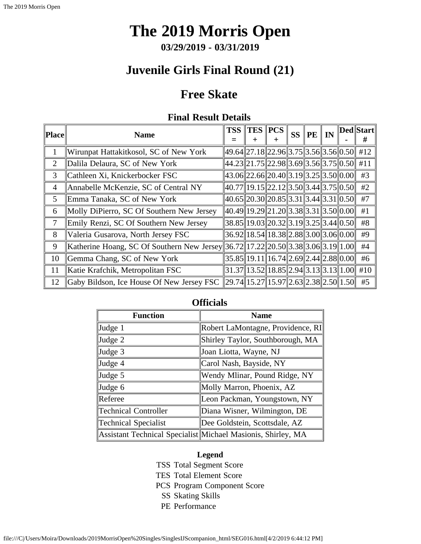**03/29/2019 - 03/31/2019**

# **Juvenile Girls Final Round (21)**

## **Free Skate**

## **Final Result Details**

<span id="page-41-0"></span>

| Place          | <b>Name</b>                                                                             | <b>TSS</b> | $\ {\rm TES}\,\ $                              | <b>PCS</b><br>+ | <b>SS</b> | <b>PE</b> | $\mathbb{I} \mathbf{N}$ | <b>Ded</b> Start<br># |
|----------------|-----------------------------------------------------------------------------------------|------------|------------------------------------------------|-----------------|-----------|-----------|-------------------------|-----------------------|
| 1              | Wirunpat Hattakitkosol, SC of New York                                                  |            | 49.64  27.18  22.96  3.75  3.56  3.56  0.50    |                 |           |           |                         | #12                   |
| $\overline{2}$ | Dalila Delaura, SC of New York                                                          |            | 44.23  21.75  22.98  3.69  3.56  3.75  0.50    |                 |           |           |                         | #11                   |
| 3              | Cathleen Xi, Knickerbocker FSC                                                          |            | 43.06  22.66  20.40  3.19  3.25  3.50  0.00    |                 |           |           |                         | #3                    |
| $\overline{4}$ | Annabelle McKenzie, SC of Central NY                                                    |            | 40.77  19.15  22.12  3.50  3.44  3.75  0.50    |                 |           |           |                         | #2                    |
| $\mathfrak{S}$ | Emma Tanaka, SC of New York                                                             |            | 40.65  20.30  20.85  3.31  3.44  3.31  0.50    |                 |           |           |                         | #7                    |
| 6              | Molly DiPierro, SC Of Southern New Jersey                                               |            | 40.49  19.29  21.20  3.38  3.31  3.50  0.00    |                 |           |           |                         | #1                    |
| 7              | Emily Renzi, SC Of Southern New Jersey                                                  |            | 38.85 19.03 20.32 3.19 3.25 3.44 0.50          |                 |           |           |                         | #8                    |
| 8              | Valeria Gusarova, North Jersey FSC                                                      |            | 36.92 18.54 18.38 2.88 3.00 3.06 0.00          |                 |           |           |                         | #9                    |
| 9              | Katherine Hoang, SC Of Southern New Jersey  36.72  17.22  20.50  3.38  3.06  3.19  1.00 |            |                                                |                 |           |           |                         | #4                    |
| 10             | Gemma Chang, SC of New York                                                             |            | $35.85$   19.11  16.74  2.69  2.44  2.88  0.00 |                 |           |           |                         | #6                    |
| 11             | Katie Krafchik, Metropolitan FSC                                                        |            | $31.37$   13.52  18.85  2.94  3.13  3.13  1.00 |                 |           |           |                         | #10                   |
| 12             | Gaby Bildson, Ice House Of New Jersey FSC                                               |            | 29.74  15.27  15.97  2.63  2.38  2.50  1.50    |                 |           |           |                         | #5                    |

### **Officials**

| <b>Function</b>             | <b>Name</b>                                                  |
|-----------------------------|--------------------------------------------------------------|
| Judge 1                     | Robert LaMontagne, Providence, RI                            |
| Judge 2                     | Shirley Taylor, Southborough, MA                             |
| Judge 3                     | Joan Liotta, Wayne, NJ                                       |
| Judge 4                     | Carol Nash, Bayside, NY                                      |
| Judge 5                     | Wendy Mlinar, Pound Ridge, NY                                |
| Judge 6                     | Molly Marron, Phoenix, AZ                                    |
| Referee                     | Leon Packman, Youngstown, NY                                 |
| <b>Technical Controller</b> | Diana Wisner, Wilmington, DE                                 |
| Technical Specialist        | Dee Goldstein, Scottsdale, AZ                                |
|                             | Assistant Technical Specialist Michael Masionis, Shirley, MA |

#### **Legend**

- TSS Total Segment Score
- TES Total Element Score
- PCS Program Component Score
	- SS Skating Skills
	- PE Performance